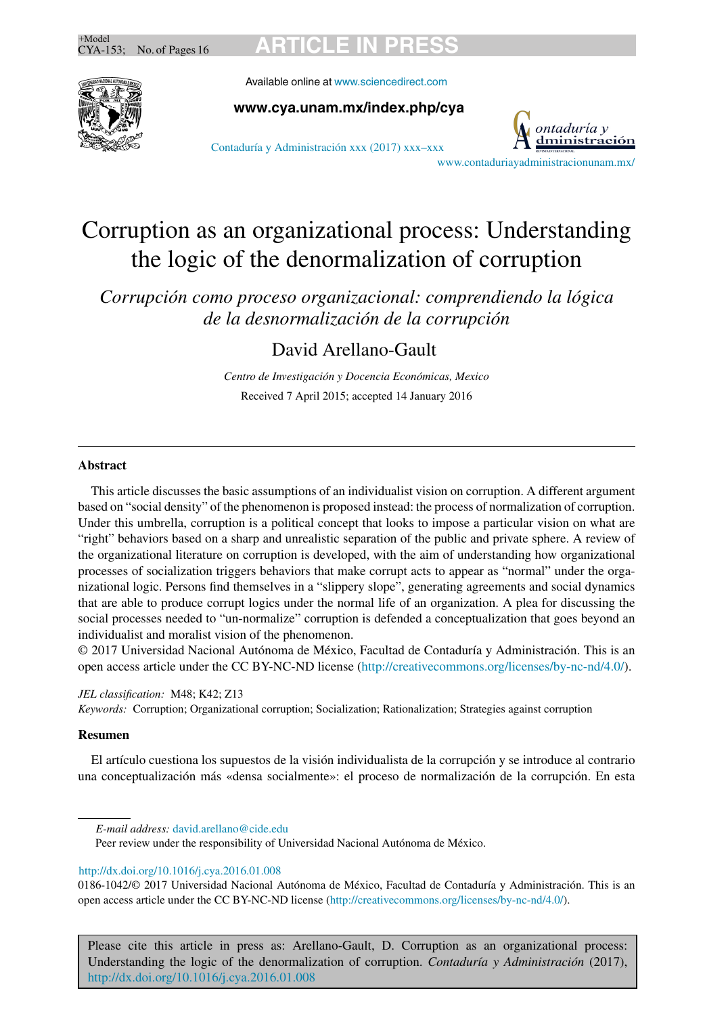Available online at [www.sciencedirect.com](http://www.sciencedirect.com/science/journal/01861042)

**www.cya.unam.mx/index.php/cya**



Contaduría y [Administración](dx.doi.org/10.1016/j.cya.2016.01.008) xxx (2017) xxx–xxx

[www.contaduriayadministracionunam.mx/](http://www.contaduriayadministracionunam.mx)

# Corruption as an organizational process: Understanding the logic of the denormalization of corruption

*Corrupción como proceso organizacional: comprendiendo la lógica de la desnormalización de la corrupción*

# David Arellano-Gault

*Centro de Investigación y Docencia Económicas, Mexico* Received 7 April 2015; accepted 14 January 2016

### **Abstract**

This article discusses the basic assumptions of an individualist vision on corruption. A different argument based on "social density" of the phenomenon is proposed instead: the process of normalization of corruption. Under this umbrella, corruption is a political concept that looks to impose a particular vision on what are "right" behaviors based on a sharp and unrealistic separation of the public and private sphere. A review of the organizational literature on corruption is developed, with the aim of understanding how organizational processes of socialization triggers behaviors that make corrupt acts to appear as "normal" under the organizational logic. Persons find themselves in a "slippery slope", generating agreements and social dynamics that are able to produce corrupt logics under the normal life of an organization. A plea for discussing the social processes needed to "un-normalize" corruption is defended a conceptualization that goes beyond an individualist and moralist vision of the phenomenon.

© 2017 Universidad Nacional Autónoma de México, Facultad de Contaduría y Administración. This is an open access article under the CC BY-NC-ND license ([http://creativecommons.org/licenses/by-nc-nd/4.0/\)](http://creativecommons.org/licenses/by-nc-nd/4.0/).

### *JEL classification:* M48; K42; Z13

*Keywords:* Corruption; Organizational corruption; Socialization; Rationalization; Strategies against corruption

### **Resumen**

El artículo cuestiona los supuestos de la visión individualista de la corrupción y se introduce al contrario una conceptualización más «densa socialmente»: el proceso de normalización de la corrupción. En esta

*E-mail address:* [david.arellano@cide.edu](mailto:david.arellano@cide.edu)

### [http://dx.doi.org/10.1016/j.cya.2016.01.008](dx.doi.org/10.1016/j.cya.2016.01.008)

0186-1042/© 2017 Universidad Nacional Autónoma de México, Facultad de Contaduría y Administración. This is an open access article under the CC BY-NC-ND license (<http://creativecommons.org/licenses/by-nc-nd/4.0/>).

Peer review under the responsibility of Universidad Nacional Autónoma de México.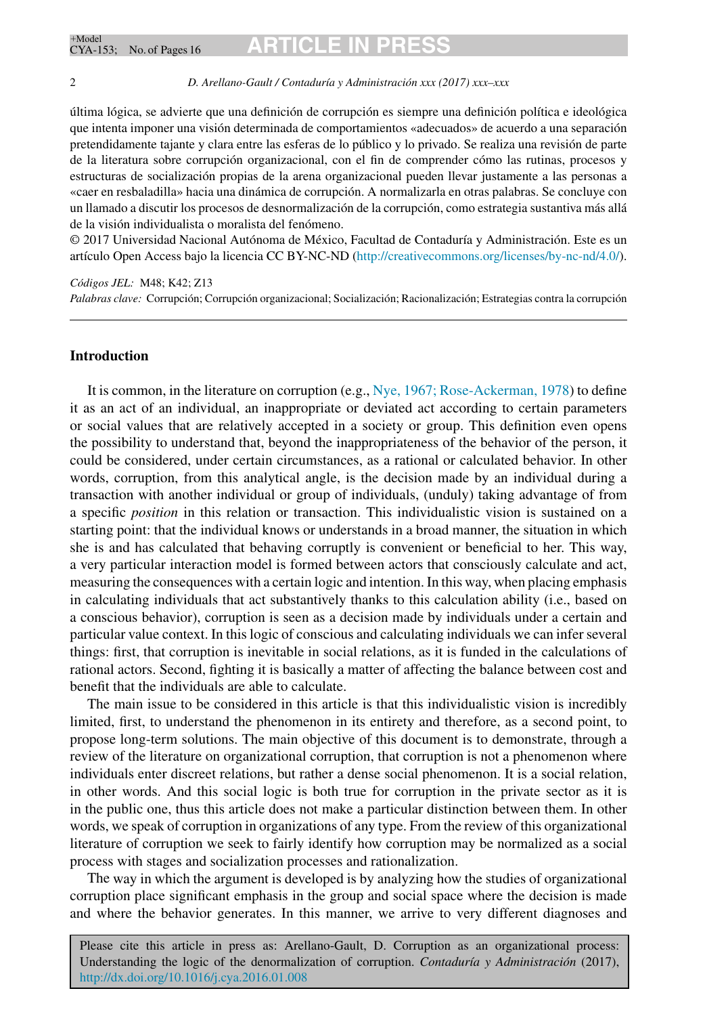2 *D. Arellano-Gault / Contaduría y Administración xxx (2017) xxx–xxx*

última lógica, se advierte que una definición de corrupción es siempre una definición política e ideológica que intenta imponer una visión determinada de comportamientos «adecuados» de acuerdo a una separación pretendidamente tajante y clara entre las esferas de lo público y lo privado. Se realiza una revisión de parte de la literatura sobre corrupción organizacional, con el fin de comprender cómo las rutinas, procesos y estructuras de socialización propias de la arena organizacional pueden llevar justamente a las personas a «caer en resbaladilla» hacia una dinámica de corrupción. A normalizarla en otras palabras. Se concluye con un llamado a discutir los procesos de desnormalización de la corrupción, como estrategia sustantiva más allá de la visión individualista o moralista del fenómeno.

© 2017 Universidad Nacional Autónoma de México, Facultad de Contaduría y Administración. Este es un artículo Open Access bajo la licencia CC BY-NC-ND [\(http://creativecommons.org/licenses/by-nc-nd/4.0/\)](http://creativecommons.org/licenses/by-nc-nd/4.0/).

#### *Códigos JEL:* M48; K42; Z13

*Palabras clave:* Corrupción; Corrupción organizacional; Socialización; Racionalización; Estrategias contra la corrupción

### **Introduction**

It is common, in the literature on corruption (e.g., [Nye,](#page-15-0) [1967;](#page-15-0) [Rose-Ackerman,](#page-15-0) [1978\)](#page-15-0) to define it as an act of an individual, an inappropriate or deviated act according to certain parameters or social values that are relatively accepted in a society or group. This definition even opens the possibility to understand that, beyond the inappropriateness of the behavior of the person, it could be considered, under certain circumstances, as a rational or calculated behavior. In other words, corruption, from this analytical angle, is the decision made by an individual during a transaction with another individual or group of individuals, (unduly) taking advantage of from a specific *position* in this relation or transaction. This individualistic vision is sustained on a starting point: that the individual knows or understands in a broad manner, the situation in which she is and has calculated that behaving corruptly is convenient or beneficial to her. This way, a very particular interaction model is formed between actors that consciously calculate and act, measuring the consequences with a certain logic and intention. In this way, when placing emphasis in calculating individuals that act substantively thanks to this calculation ability (i.e., based on a conscious behavior), corruption is seen as a decision made by individuals under a certain and particular value context. In thislogic of conscious and calculating individuals we can inferseveral things: first, that corruption is inevitable in social relations, as it is funded in the calculations of rational actors. Second, fighting it is basically a matter of affecting the balance between cost and benefit that the individuals are able to calculate.

The main issue to be considered in this article is that this individualistic vision is incredibly limited, first, to understand the phenomenon in its entirety and therefore, as a second point, to propose long-term solutions. The main objective of this document is to demonstrate, through a review of the literature on organizational corruption, that corruption is not a phenomenon where individuals enter discreet relations, but rather a dense social phenomenon. It is a social relation, in other words. And this social logic is both true for corruption in the private sector as it is in the public one, thus this article does not make a particular distinction between them. In other words, we speak of corruption in organizations of any type. From the review of this organizational literature of corruption we seek to fairly identify how corruption may be normalized as a social process with stages and socialization processes and rationalization.

The way in which the argument is developed is by analyzing how the studies of organizational corruption place significant emphasis in the group and social space where the decision is made and where the behavior generates. In this manner, we arrive to very different diagnoses and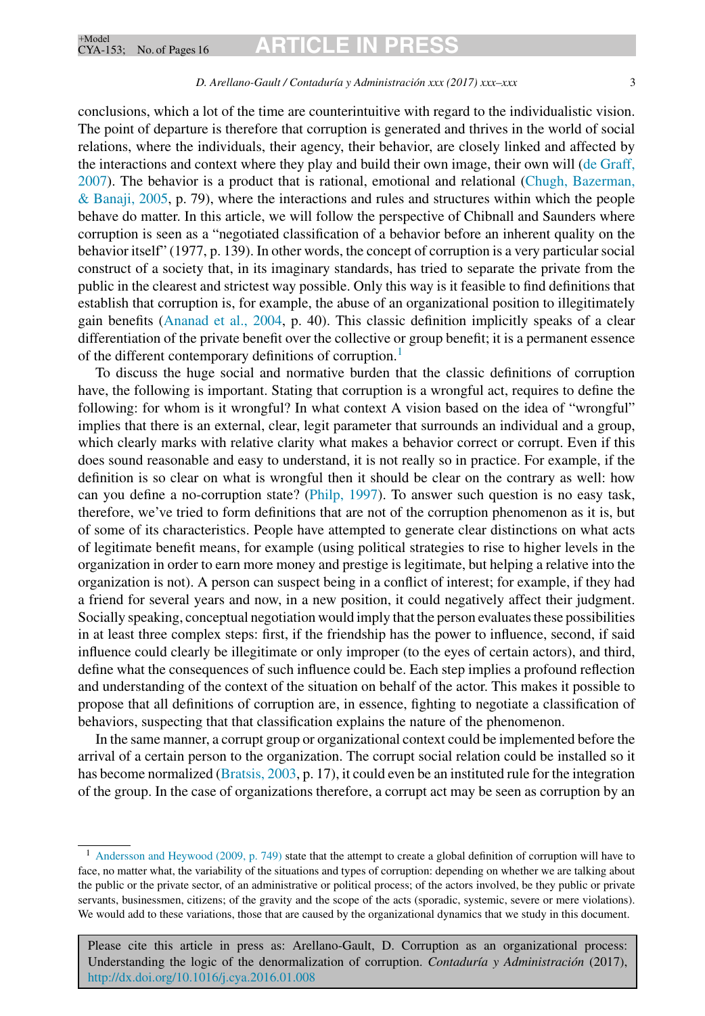#### *D. Arellano-Gault / Contaduría y Administración xxx (2017) xxx–xxx* 3

conclusions, which a lot of the time are counterintuitive with regard to the individualistic vision. The point of departure is therefore that corruption is generated and thrives in the world of social relations, where the individuals, their agency, their behavior, are closely linked and affected by the interactions and context where they play and build their own image, their own will ([de](#page-14-0) [Graff,](#page-14-0) [2007\).](#page-14-0) The behavior is a product that is rational, emotional and relational [\(Chugh,](#page-14-0) [Bazerman,](#page-14-0) [&](#page-14-0) [Banaji,](#page-14-0) [2005,](#page-14-0) p. 79), where the interactions and rules and structures within which the people behave do matter. In this article, we will follow the perspective of Chibnall and Saunders where corruption is seen as a "negotiated classification of a behavior before an inherent quality on the behavior itself" (1977, p. 139). In other words, the concept of corruption is a very particular social construct of a society that, in its imaginary standards, has tried to separate the private from the public in the clearest and strictest way possible. Only this way is it feasible to find definitions that establish that corruption is, for example, the abuse of an organizational position to illegitimately gain benefits ([Ananad](#page-14-0) et [al.,](#page-14-0) [2004,](#page-14-0) p. 40). This classic definition implicitly speaks of a clear differentiation of the private benefit over the collective or group benefit; it is a permanent essence of the different contemporary definitions of corruption.<sup>1</sup>

To discuss the huge social and normative burden that the classic definitions of corruption have, the following is important. Stating that corruption is a wrongful act, requires to define the following: for whom is it wrongful? In what context A vision based on the idea of "wrongful" implies that there is an external, clear, legit parameter that surrounds an individual and a group, which clearly marks with relative clarity what makes a behavior correct or corrupt. Even if this does sound reasonable and easy to understand, it is not really so in practice. For example, if the definition is so clear on what is wrongful then it should be clear on the contrary as well: how can you define a no-corruption state? ([Philp,](#page-15-0) [1997\).](#page-15-0) To answer such question is no easy task, therefore, we've tried to form definitions that are not of the corruption phenomenon as it is, but of some of its characteristics. People have attempted to generate clear distinctions on what acts of legitimate benefit means, for example (using political strategies to rise to higher levels in the organization in order to earn more money and prestige is legitimate, but helping a relative into the organization is not). A person can suspect being in a conflict of interest; for example, if they had a friend for several years and now, in a new position, it could negatively affect their judgment. Socially speaking, conceptual negotiation would imply that the person evaluatesthese possibilities in at least three complex steps: first, if the friendship has the power to influence, second, if said influence could clearly be illegitimate or only improper (to the eyes of certain actors), and third, define what the consequences of such influence could be. Each step implies a profound reflection and understanding of the context of the situation on behalf of the actor. This makes it possible to propose that all definitions of corruption are, in essence, fighting to negotiate a classification of behaviors, suspecting that that classification explains the nature of the phenomenon.

In the same manner, a corrupt group or organizational context could be implemented before the arrival of a certain person to the organization. The corrupt social relation could be installed so it has become normalized ([Bratsis,](#page-14-0) [2003,](#page-14-0) p. 17), it could even be an instituted rule for the integration of the group. In the case of organizations therefore, a corrupt act may be seen as corruption by an

<sup>&</sup>lt;sup>1</sup> [Andersson](#page-14-0) [and](#page-14-0) [Heywood](#page-14-0) [\(2009,](#page-14-0) [p.](#page-14-0) [749\)](#page-14-0) state that the attempt to create a global definition of corruption will have to face, no matter what, the variability of the situations and types of corruption: depending on whether we are talking about the public or the private sector, of an administrative or political process; of the actors involved, be they public or private servants, businessmen, citizens; of the gravity and the scope of the acts (sporadic, systemic, severe or mere violations). We would add to these variations, those that are caused by the organizational dynamics that we study in this document.

Please cite this article in press as: Arellano-Gault, D. Corruption as an organizational process: Understanding the logic of the denormalization of corruption. *Contaduría y Administración* (2017), [http://dx.doi.org/10.1016/j.cya.2016.01.008](dx.doi.org/10.1016/j.cya.2016.01.008)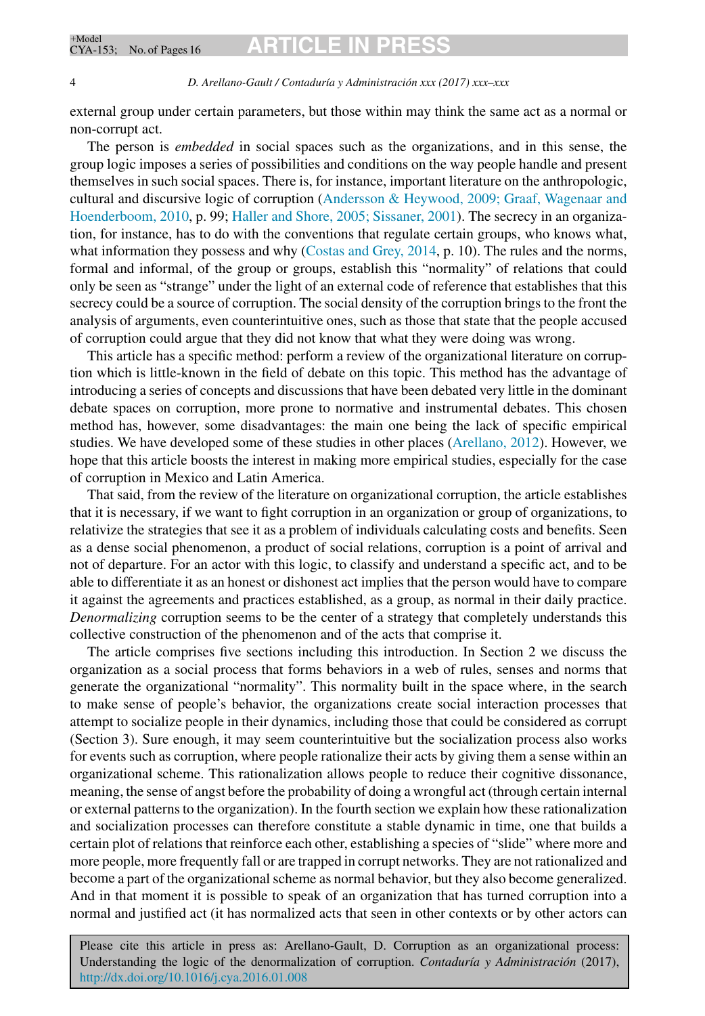external group under certain parameters, but those within may think the same act as a normal or non-corrupt act.

The person is *embedded* in social spaces such as the organizations, and in this sense, the group logic imposes a series of possibilities and conditions on the way people handle and present themselves in such social spaces. There is, for instance, important literature on the anthropologic, cultural and discursive logic of corruption ([Andersson](#page-14-0) [&](#page-14-0) [Heywood,](#page-14-0) [2009;](#page-14-0) [Graaf,](#page-14-0) [Wagenaar](#page-14-0) [and](#page-14-0) [Hoenderboom,](#page-14-0) [2010,](#page-14-0) p. 99; [Haller](#page-15-0) [and](#page-15-0) [Shore,](#page-15-0) [2005;](#page-15-0) [Sissaner,](#page-15-0) [2001\).](#page-15-0) The secrecy in an organization, for instance, has to do with the conventions that regulate certain groups, who knows what, what information they possess and why [\(Costas](#page-14-0) [and](#page-14-0) [Grey,](#page-14-0) [2014,](#page-14-0) p. 10). The rules and the norms, formal and informal, of the group or groups, establish this "normality" of relations that could only be seen as "strange" under the light of an external code of reference that establishes that this secrecy could be a source of corruption. The social density of the corruption brings to the front the analysis of arguments, even counterintuitive ones, such as those that state that the people accused of corruption could argue that they did not know that what they were doing was wrong.

This article has a specific method: perform a review of the organizational literature on corruption which is little-known in the field of debate on this topic. This method has the advantage of introducing a series of concepts and discussions that have been debated very little in the dominant debate spaces on corruption, more prone to normative and instrumental debates. This chosen method has, however, some disadvantages: the main one being the lack of specific empirical studies. We have developed some of these studies in other places ([Arellano,](#page-14-0) [2012\).](#page-14-0) However, we hope that this article boosts the interest in making more empirical studies, especially for the case of corruption in Mexico and Latin America.

That said, from the review of the literature on organizational corruption, the article establishes that it is necessary, if we want to fight corruption in an organization or group of organizations, to relativize the strategies that see it as a problem of individuals calculating costs and benefits. Seen as a dense social phenomenon, a product of social relations, corruption is a point of arrival and not of departure. For an actor with this logic, to classify and understand a specific act, and to be able to differentiate it as an honest or dishonest act implies that the person would have to compare it against the agreements and practices established, as a group, as normal in their daily practice. *Denormalizing* corruption seems to be the center of a strategy that completely understands this collective construction of the phenomenon and of the acts that comprise it.

The article comprises five sections including this introduction. In Section 2 we discuss the organization as a social process that forms behaviors in a web of rules, senses and norms that generate the organizational "normality". This normality built in the space where, in the search to make sense of people's behavior, the organizations create social interaction processes that attempt to socialize people in their dynamics, including those that could be considered as corrupt (Section 3). Sure enough, it may seem counterintuitive but the socialization process also works for events such as corruption, where people rationalize their acts by giving them a sense within an organizational scheme. This rationalization allows people to reduce their cognitive dissonance, meaning, the sense of angst before the probability of doing a wrongful act (through certain internal or external patternsto the organization). In the fourth section we explain how these rationalization and socialization processes can therefore constitute a stable dynamic in time, one that builds a certain plot of relations that reinforce each other, establishing a species of "slide" where more and more people, more frequently fall or are trapped in corrupt networks. They are not rationalized and become a part of the organizational scheme as normal behavior, but they also become generalized. And in that moment it is possible to speak of an organization that has turned corruption into a normal and justified act (it has normalized acts that seen in other contexts or by other actors can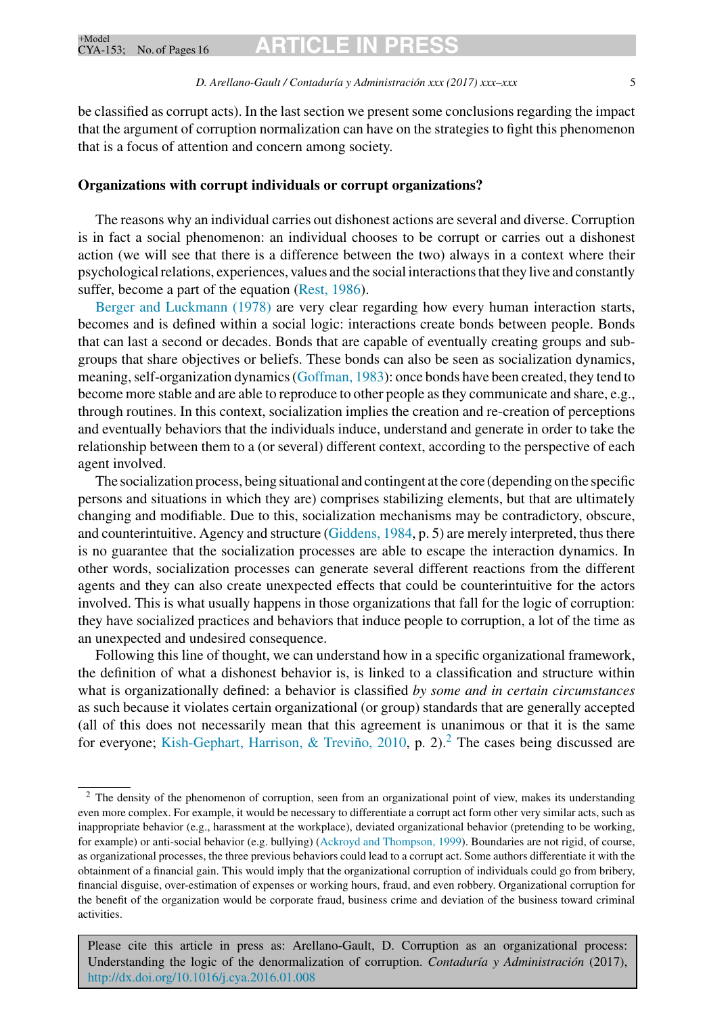be classified as corrupt acts). In the last section we present some conclusions regarding the impact that the argument of corruption normalization can have on the strategies to fight this phenomenon that is a focus of attention and concern among society.

### **Organizations with corrupt individuals or corrupt organizations?**

The reasons why an individual carries out dishonest actions are several and diverse. Corruption is in fact a social phenomenon: an individual chooses to be corrupt or carries out a dishonest action (we will see that there is a difference between the two) always in a context where their psychological relations, experiences, values and the social interactions that they live and constantly suffer, become a part of the equation [\(Rest,](#page-15-0) [1986\).](#page-15-0)

[Berger](#page-14-0) [and](#page-14-0) [Luckmann](#page-14-0) [\(1978\)](#page-14-0) are very clear regarding how every human interaction starts, becomes and is defined within a social logic: interactions create bonds between people. Bonds that can last a second or decades. Bonds that are capable of eventually creating groups and subgroups that share objectives or beliefs. These bonds can also be seen as socialization dynamics, meaning, self-organization dynamics [\(Goffman,](#page-15-0) [1983\):](#page-15-0) once bonds have been created, they tend to become more stable and are able to reproduce to other people asthey communicate and share, e.g., through routines. In this context, socialization implies the creation and re-creation of perceptions and eventually behaviors that the individuals induce, understand and generate in order to take the relationship between them to a (or several) different context, according to the perspective of each agent involved.

The socialization process, being situational and contingent at the core (depending on the specific persons and situations in which they are) comprises stabilizing elements, but that are ultimately changing and modifiable. Due to this, socialization mechanisms may be contradictory, obscure, and counterintuitive. Agency and structure ([Giddens,](#page-15-0) [1984,](#page-15-0) p. 5) are merely interpreted, thus there is no guarantee that the socialization processes are able to escape the interaction dynamics. In other words, socialization processes can generate several different reactions from the different agents and they can also create unexpected effects that could be counterintuitive for the actors involved. This is what usually happens in those organizations that fall for the logic of corruption: they have socialized practices and behaviors that induce people to corruption, a lot of the time as an unexpected and undesired consequence.

Following this line of thought, we can understand how in a specific organizational framework, the definition of what a dishonest behavior is, is linked to a classification and structure within what is organizationally defined: a behavior is classified *by some and in certain circumstances* as such because it violates certain organizational (or group) standards that are generally accepted (all of this does not necessarily mean that this agreement is unanimous or that it is the same for everyone; [Kish-Gephart,](#page-15-0) [Harrison,](#page-15-0) [&](#page-15-0) Treviño, [2010,](#page-15-0) p. 2).<sup>2</sup> The cases being discussed are

<sup>&</sup>lt;sup>2</sup> The density of the phenomenon of corruption, seen from an organizational point of view, makes its understanding even more complex. For example, it would be necessary to differentiate a corrupt act form other very similar acts, such as inappropriate behavior (e.g., harassment at the workplace), deviated organizational behavior (pretending to be working, for example) or anti-social behavior (e.g. bullying) ([Ackroyd](#page-14-0) [and](#page-14-0) [Thompson,](#page-14-0) [1999\).](#page-14-0) Boundaries are not rigid, of course, as organizational processes, the three previous behaviors could lead to a corrupt act. Some authors differentiate it with the obtainment of a financial gain. This would imply that the organizational corruption of individuals could go from bribery, financial disguise, over-estimation of expenses or working hours, fraud, and even robbery. Organizational corruption for the benefit of the organization would be corporate fraud, business crime and deviation of the business toward criminal activities.

Please cite this article in press as: Arellano-Gault, D. Corruption as an organizational process: Understanding the logic of the denormalization of corruption. *Contaduría y Administración* (2017), [http://dx.doi.org/10.1016/j.cya.2016.01.008](dx.doi.org/10.1016/j.cya.2016.01.008)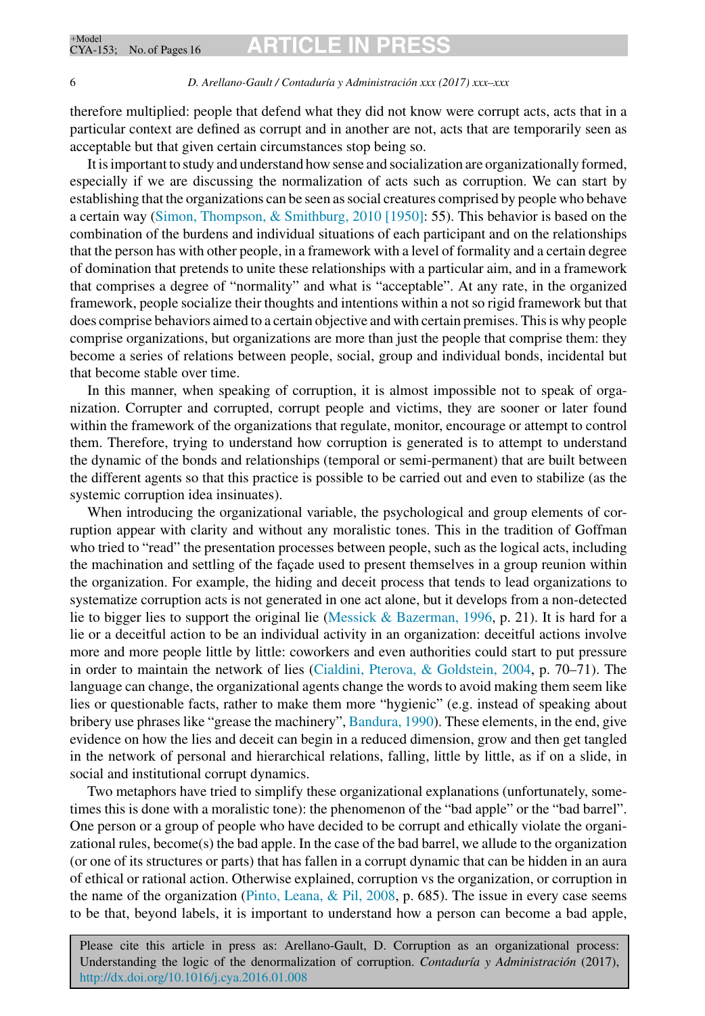### 6 *D. Arellano-Gault / Contaduría y Administración xxx (2017) xxx–xxx*

therefore multiplied: people that defend what they did not know were corrupt acts, acts that in a particular context are defined as corrupt and in another are not, acts that are temporarily seen as acceptable but that given certain circumstances stop being so.

It isimportant to study and understand how sense and socialization are organizationally formed, especially if we are discussing the normalization of acts such as corruption. We can start by establishing that the organizations can be seen associal creatures comprised by people who behave a certain way ([Simon,](#page-15-0) [Thompson,](#page-15-0) [&](#page-15-0) [Smithburg,](#page-15-0) [2010](#page-15-0) [\[1950\]:](#page-15-0) 55). This behavior is based on the combination of the burdens and individual situations of each participant and on the relationships that the person has with other people, in a framework with a level of formality and a certain degree of domination that pretends to unite these relationships with a particular aim, and in a framework that comprises a degree of "normality" and what is "acceptable". At any rate, in the organized framework, people socialize their thoughts and intentions within a not so rigid framework but that does comprise behaviors aimed to a certain objective and with certain premises. Thisis why people comprise organizations, but organizations are more than just the people that comprise them: they become a series of relations between people, social, group and individual bonds, incidental but that become stable over time.

In this manner, when speaking of corruption, it is almost impossible not to speak of organization. Corrupter and corrupted, corrupt people and victims, they are sooner or later found within the framework of the organizations that regulate, monitor, encourage or attempt to control them. Therefore, trying to understand how corruption is generated is to attempt to understand the dynamic of the bonds and relationships (temporal or semi-permanent) that are built between the different agents so that this practice is possible to be carried out and even to stabilize (as the systemic corruption idea insinuates).

When introducing the organizational variable, the psychological and group elements of corruption appear with clarity and without any moralistic tones. This in the tradition of Goffman who tried to "read" the presentation processes between people, such as the logical acts, including the machination and settling of the facade used to present themselves in a group reunion within the organization. For example, the hiding and deceit process that tends to lead organizations to systematize corruption acts is not generated in one act alone, but it develops from a non-detected lie to bigger lies to support the original lie ([Messick](#page-15-0) [&](#page-15-0) [Bazerman,](#page-15-0) [1996,](#page-15-0) p. 21). It is hard for a lie or a deceitful action to be an individual activity in an organization: deceitful actions involve more and more people little by little: coworkers and even authorities could start to put pressure in order to maintain the network of lies ([Cialdini,](#page-14-0) [Pterova,](#page-14-0) [&](#page-14-0) [Goldstein,](#page-14-0) [2004,](#page-14-0) p. 70–71). The language can change, the organizational agents change the words to avoid making them seem like lies or questionable facts, rather to make them more "hygienic" (e.g. instead of speaking about bribery use phrases like "grease the machinery", [Bandura,](#page-14-0) [1990\).](#page-14-0) These elements, in the end, give evidence on how the lies and deceit can begin in a reduced dimension, grow and then get tangled in the network of personal and hierarchical relations, falling, little by little, as if on a slide, in social and institutional corrupt dynamics.

Two metaphors have tried to simplify these organizational explanations (unfortunately, sometimes this is done with a moralistic tone): the phenomenon of the "bad apple" or the "bad barrel". One person or a group of people who have decided to be corrupt and ethically violate the organizational rules, become(s) the bad apple. In the case of the bad barrel, we allude to the organization (or one of its structures or parts) that has fallen in a corrupt dynamic that can be hidden in an aura of ethical or rational action. Otherwise explained, corruption vs the organization, or corruption in the name of the organization [\(Pinto,](#page-15-0) [Leana,](#page-15-0)  $\&$  $\&$  [Pil,](#page-15-0) [2008,](#page-15-0) p. 685). The issue in every case seems to be that, beyond labels, it is important to understand how a person can become a bad apple,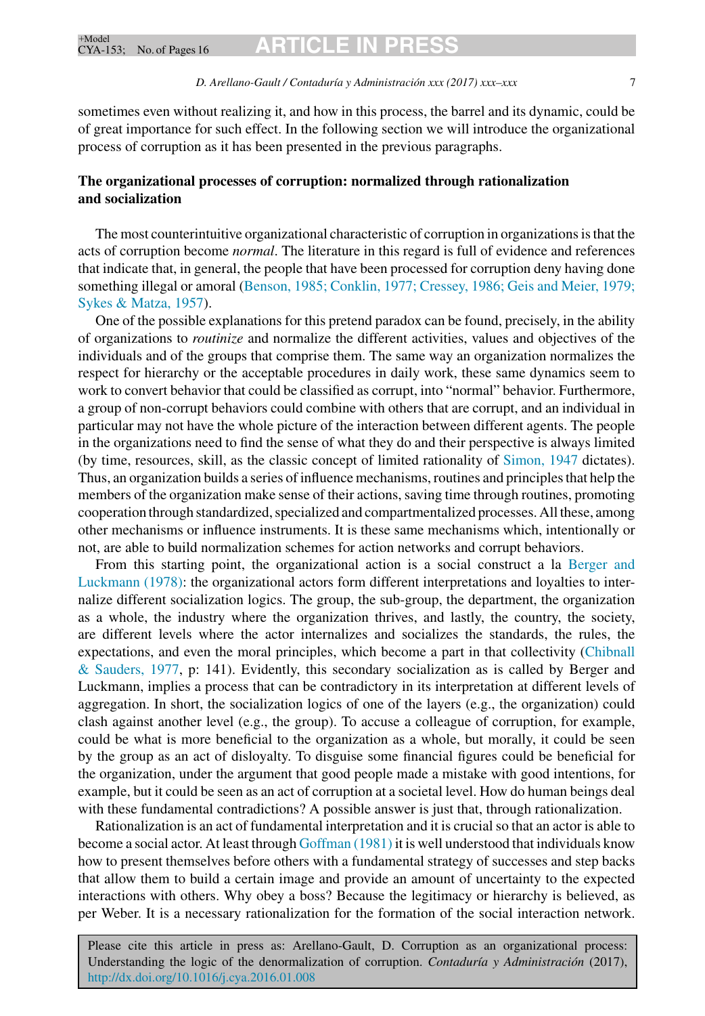sometimes even without realizing it, and how in this process, the barrel and its dynamic, could be of great importance for such effect. In the following section we will introduce the organizational process of corruption as it has been presented in the previous paragraphs.

## **The organizational processes of corruption: normalized through rationalization and socialization**

The most counterintuitive organizational characteristic of corruption in organizationsisthat the acts of corruption become *normal*. The literature in this regard is full of evidence and references that indicate that, in general, the people that have been processed for corruption deny having done something illegal or amoral ([Benson,](#page-14-0) [1985;](#page-14-0) [Conklin,](#page-14-0) [1977;](#page-14-0) [Cressey,](#page-14-0) [1986;](#page-14-0) [Geis](#page-14-0) [and](#page-14-0) [Meier,](#page-14-0) [1979;](#page-14-0) [Sykes](#page-14-0) [&](#page-14-0) [Matza,](#page-14-0) [1957\).](#page-14-0)

One of the possible explanations for this pretend paradox can be found, precisely, in the ability of organizations to *routinize* and normalize the different activities, values and objectives of the individuals and of the groups that comprise them. The same way an organization normalizes the respect for hierarchy or the acceptable procedures in daily work, these same dynamics seem to work to convert behavior that could be classified as corrupt, into "normal" behavior. Furthermore, a group of non-corrupt behaviors could combine with others that are corrupt, and an individual in particular may not have the whole picture of the interaction between different agents. The people in the organizations need to find the sense of what they do and their perspective is always limited (by time, resources, skill, as the classic concept of limited rationality of [Simon,](#page-15-0) [1947](#page-15-0) dictates). Thus, an organization builds a series of influence mechanisms, routines and principlesthat help the members of the organization make sense of their actions, saving time through routines, promoting cooperation through standardized, specialized and compartmentalized processes. All these, among other mechanisms or influence instruments. It is these same mechanisms which, intentionally or not, are able to build normalization schemes for action networks and corrupt behaviors.

From this starting point, the organizational action is a social construct a la [Berger](#page-14-0) [and](#page-14-0) [Luckmann](#page-14-0) [\(1978\):](#page-14-0) the organizational actors form different interpretations and loyalties to internalize different socialization logics. The group, the sub-group, the department, the organization as a whole, the industry where the organization thrives, and lastly, the country, the society, are different levels where the actor internalizes and socializes the standards, the rules, the expectations, and even the moral principles, which become a part in that collectivity [\(Chibnall](#page-14-0) [&](#page-14-0) [Sauders,](#page-14-0) [1977,](#page-14-0) p: 141). Evidently, this secondary socialization as is called by Berger and Luckmann, implies a process that can be contradictory in its interpretation at different levels of aggregation. In short, the socialization logics of one of the layers (e.g., the organization) could clash against another level (e.g., the group). To accuse a colleague of corruption, for example, could be what is more beneficial to the organization as a whole, but morally, it could be seen by the group as an act of disloyalty. To disguise some financial figures could be beneficial for the organization, under the argument that good people made a mistake with good intentions, for example, but it could be seen as an act of corruption at a societal level. How do human beings deal with these fundamental contradictions? A possible answer is just that, through rationalization.

Rationalization is an act of fundamental interpretation and it is crucialso that an actor is able to become a social actor. At least through [Goffman](#page-15-0) [\(1981\)](#page-15-0) it is well understood that individuals know how to present themselves before others with a fundamental strategy of successes and step backs that allow them to build a certain image and provide an amount of uncertainty to the expected interactions with others. Why obey a boss? Because the legitimacy or hierarchy is believed, as per Weber. It is a necessary rationalization for the formation of the social interaction network.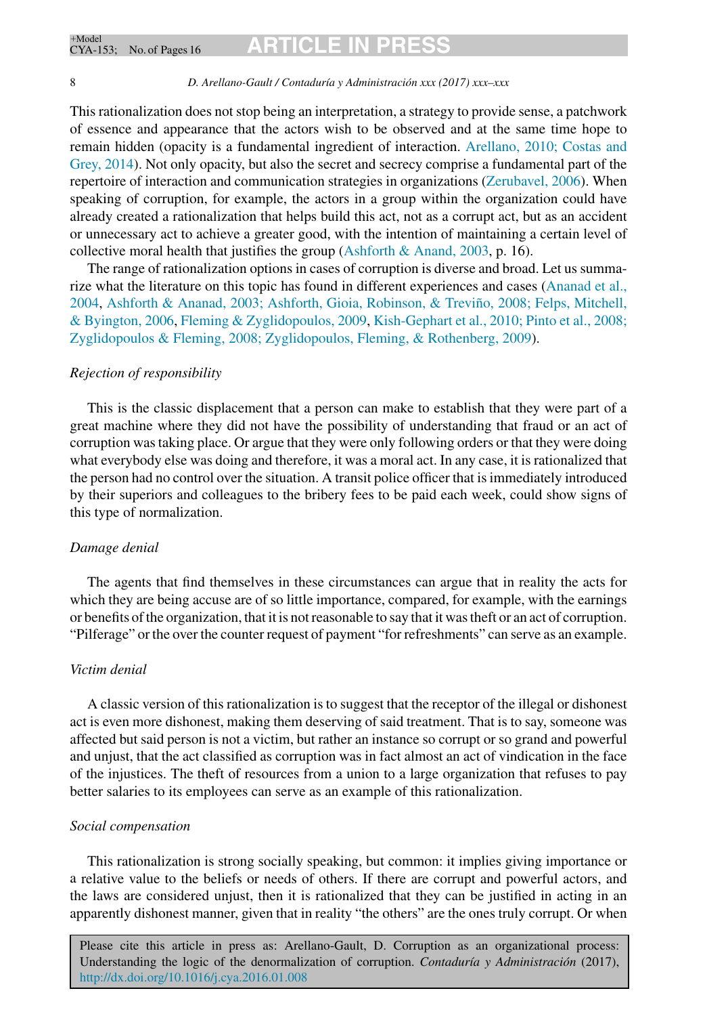## 8 *D. Arellano-Gault / Contaduría y Administración xxx (2017) xxx–xxx*

This rationalization does not stop being an interpretation, a strategy to provide sense, a patchwork of essence and appearance that the actors wish to be observed and at the same time hope to remain hidden (opacity is a fundamental ingredient of interaction. [Arellano,](#page-14-0) [2010;](#page-14-0) [Costas](#page-14-0) [and](#page-14-0) [Grey,](#page-14-0) [2014\).](#page-14-0) Not only opacity, but also the secret and secrecy comprise a fundamental part of the repertoire of interaction and communication strategies in organizations [\(Zerubavel,](#page-15-0) [2006\).](#page-15-0) When speaking of corruption, for example, the actors in a group within the organization could have already created a rationalization that helps build this act, not as a corrupt act, but as an accident or unnecessary act to achieve a greater good, with the intention of maintaining a certain level of collective moral health that justifies the group [\(Ashforth](#page-14-0) [&](#page-14-0) [Anand,](#page-14-0) [2003,](#page-14-0) p. 16).

The range of rationalization options in cases of corruption is diverse and broad. Let us summarize what the literature on this topic has found in different experiences and cases [\(Ananad](#page-14-0) et [al.,](#page-14-0) [2004,](#page-14-0) [Ashforth](#page-14-0) [&](#page-14-0) [Ananad,](#page-14-0) [2003;](#page-14-0) [Ashforth,](#page-14-0) [Gioia,](#page-14-0) [Robinson,](#page-14-0) & Treviño, [2008;](#page-14-0) [Felps,](#page-14-0) [Mitchell,](#page-14-0) [&](#page-14-0) [Byington,](#page-14-0) [2006,](#page-14-0) [Fleming](#page-15-0) [&](#page-15-0) [Zyglidopoulos,](#page-15-0) [2009,](#page-15-0) [Kish-Gephart](#page-15-0) et [al.,](#page-15-0) [2010;](#page-15-0) [Pinto](#page-15-0) et [al.,](#page-15-0) [2008;](#page-15-0) [Zyglidopoulos](#page-15-0) [&](#page-15-0) [Fleming,](#page-15-0) [2008;](#page-15-0) [Zyglidopoulos,](#page-15-0) [Fleming,](#page-15-0) [&](#page-15-0) [Rothenberg,](#page-15-0) [2009\).](#page-15-0)

# *Rejection of responsibility*

This is the classic displacement that a person can make to establish that they were part of a great machine where they did not have the possibility of understanding that fraud or an act of corruption wastaking place. Or argue that they were only following orders or that they were doing what everybody else was doing and therefore, it was a moral act. In any case, it is rationalized that the person had no control over the situation. A transit police officer that isimmediately introduced by their superiors and colleagues to the bribery fees to be paid each week, could show signs of this type of normalization.

# *Damage denial*

The agents that find themselves in these circumstances can argue that in reality the acts for which they are being accuse are of so little importance, compared, for example, with the earnings or benefits ofthe organization, that it is notreasonable to say that it wastheft or an act of corruption. "Pilferage" or the over the counter request of payment "for refreshments" can serve as an example.

# *Victim denial*

A classic version of this rationalization is to suggest that the receptor of the illegal or dishonest act is even more dishonest, making them deserving of said treatment. That is to say, someone was affected but said person is not a victim, but rather an instance so corrupt or so grand and powerful and unjust, that the act classified as corruption was in fact almost an act of vindication in the face of the injustices. The theft of resources from a union to a large organization that refuses to pay better salaries to its employees can serve as an example of this rationalization.

# *Social compensation*

This rationalization is strong socially speaking, but common: it implies giving importance or a relative value to the beliefs or needs of others. If there are corrupt and powerful actors, and the laws are considered unjust, then it is rationalized that they can be justified in acting in an apparently dishonest manner, given that in reality "the others" are the ones truly corrupt. Or when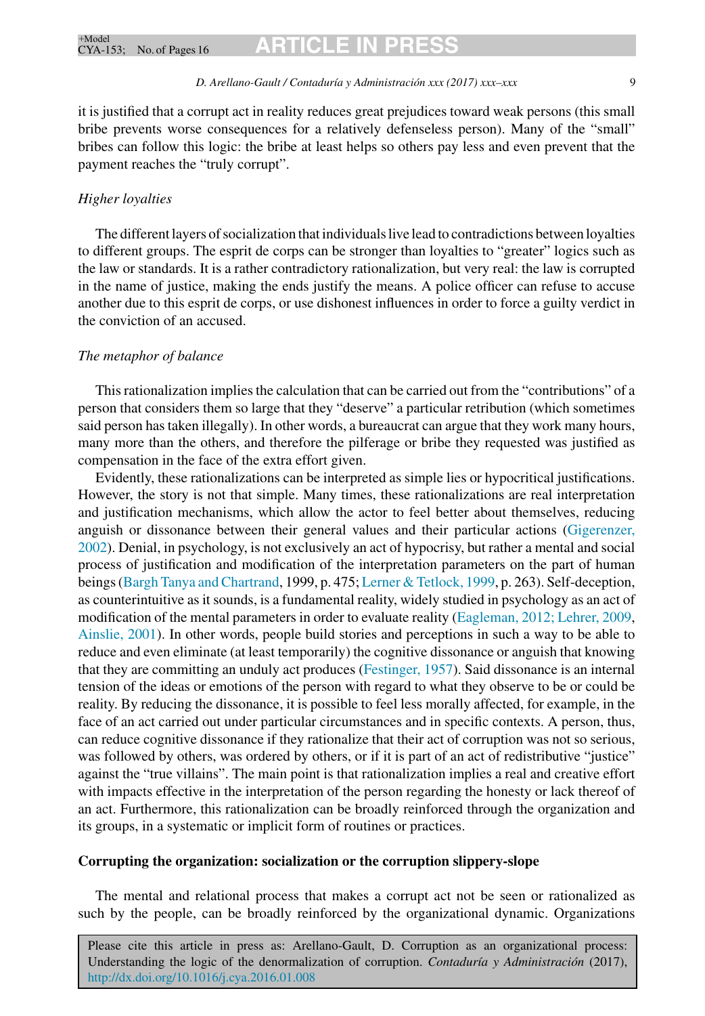it is justified that a corrupt act in reality reduces great prejudices toward weak persons (this small bribe prevents worse consequences for a relatively defenseless person). Many of the "small" bribes can follow this logic: the bribe at least helps so others pay less and even prevent that the payment reaches the "truly corrupt".

## *Higher loyalties*

The different layers of socialization that individuals live lead to contradictions between loyalties to different groups. The esprit de corps can be stronger than loyalties to "greater" logics such as the law or standards. It is a rather contradictory rationalization, but very real: the law is corrupted in the name of justice, making the ends justify the means. A police officer can refuse to accuse another due to this esprit de corps, or use dishonest influences in order to force a guilty verdict in the conviction of an accused.

## *The metaphor of balance*

This rationalization implies the calculation that can be carried out from the "contributions" of a person that considers them so large that they "deserve" a particular retribution (which sometimes said person hastaken illegally). In other words, a bureaucrat can argue that they work many hours, many more than the others, and therefore the pilferage or bribe they requested was justified as compensation in the face of the extra effort given.

Evidently, these rationalizations can be interpreted as simple lies or hypocritical justifications. However, the story is not that simple. Many times, these rationalizations are real interpretation and justification mechanisms, which allow the actor to feel better about themselves, reducing anguish or dissonance between their general values and their particular actions [\(Gigerenzer,](#page-15-0) [2002\).](#page-15-0) Denial, in psychology, is not exclusively an act of hypocrisy, but rather a mental and social process of justification and modification of the interpretation parameters on the part of human beings ([Bargh](#page-14-0) [Tanya](#page-14-0) and Chartrand, 1999, p. 475; [Lerner](#page-15-0) [&](#page-15-0) [Tetlock,](#page-15-0) [1999,](#page-15-0) p. 263). Self-deception, as counterintuitive as it sounds, is a fundamental reality, widely studied in psychology as an act of modification of the mental parameters in order to evaluate reality [\(Eagleman,](#page-14-0) [2012;](#page-14-0) [Lehrer,](#page-14-0) [2009,](#page-14-0) [Ainslie,](#page-14-0) [2001\).](#page-14-0) In other words, people build stories and perceptions in such a way to be able to reduce and even eliminate (at least temporarily) the cognitive dissonance or anguish that knowing that they are committing an unduly act produces ([Festinger,](#page-14-0) [1957\).](#page-14-0) Said dissonance is an internal tension of the ideas or emotions of the person with regard to what they observe to be or could be reality. By reducing the dissonance, it is possible to feel less morally affected, for example, in the face of an act carried out under particular circumstances and in specific contexts. A person, thus, can reduce cognitive dissonance if they rationalize that their act of corruption was not so serious, was followed by others, was ordered by others, or if it is part of an act of redistributive "justice" against the "true villains". The main point is that rationalization implies a real and creative effort with impacts effective in the interpretation of the person regarding the honesty or lack thereof of an act. Furthermore, this rationalization can be broadly reinforced through the organization and its groups, in a systematic or implicit form of routines or practices.

### **Corrupting the organization: socialization or the corruption slippery-slope**

The mental and relational process that makes a corrupt act not be seen or rationalized as such by the people, can be broadly reinforced by the organizational dynamic. Organizations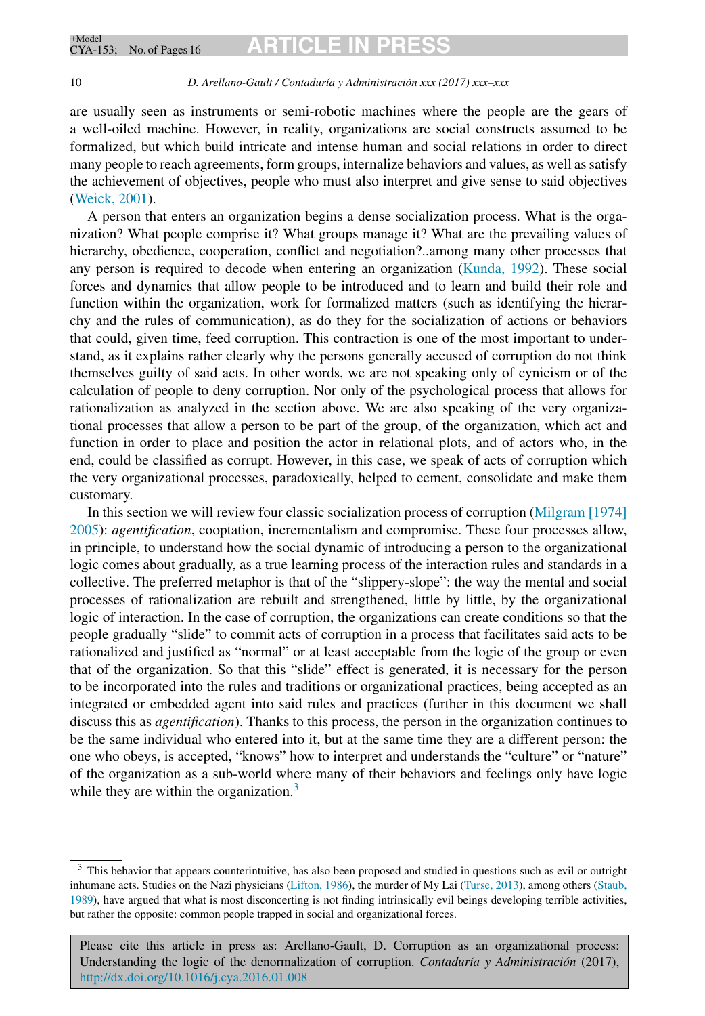#### 10 *D. Arellano-Gault / Contaduría y Administración xxx (2017) xxx–xxx*

are usually seen as instruments or semi-robotic machines where the people are the gears of a well-oiled machine. However, in reality, organizations are social constructs assumed to be formalized, but which build intricate and intense human and social relations in order to direct many people to reach agreements, form groups, internalize behaviors and values, as well assatisfy the achievement of objectives, people who must also interpret and give sense to said objectives ([Weick,](#page-15-0) [2001\).](#page-15-0)

A person that enters an organization begins a dense socialization process. What is the organization? What people comprise it? What groups manage it? What are the prevailing values of hierarchy, obedience, cooperation, conflict and negotiation?..among many other processes that any person is required to decode when entering an organization [\(Kunda,](#page-15-0) [1992\).](#page-15-0) These social forces and dynamics that allow people to be introduced and to learn and build their role and function within the organization, work for formalized matters (such as identifying the hierarchy and the rules of communication), as do they for the socialization of actions or behaviors that could, given time, feed corruption. This contraction is one of the most important to understand, as it explains rather clearly why the persons generally accused of corruption do not think themselves guilty of said acts. In other words, we are not speaking only of cynicism or of the calculation of people to deny corruption. Nor only of the psychological process that allows for rationalization as analyzed in the section above. We are also speaking of the very organizational processes that allow a person to be part of the group, of the organization, which act and function in order to place and position the actor in relational plots, and of actors who, in the end, could be classified as corrupt. However, in this case, we speak of acts of corruption which the very organizational processes, paradoxically, helped to cement, consolidate and make them customary.

In this section we will review four classic socialization process of corruption [\(Milgram](#page-15-0) [\[1974\]](#page-15-0) [2005\):](#page-15-0) *agentification*, cooptation, incrementalism and compromise. These four processes allow, in principle, to understand how the social dynamic of introducing a person to the organizational logic comes about gradually, as a true learning process of the interaction rules and standards in a collective. The preferred metaphor is that of the "slippery-slope": the way the mental and social processes of rationalization are rebuilt and strengthened, little by little, by the organizational logic of interaction. In the case of corruption, the organizations can create conditions so that the people gradually "slide" to commit acts of corruption in a process that facilitates said acts to be rationalized and justified as "normal" or at least acceptable from the logic of the group or even that of the organization. So that this "slide" effect is generated, it is necessary for the person to be incorporated into the rules and traditions or organizational practices, being accepted as an integrated or embedded agent into said rules and practices (further in this document we shall discuss this as *agentification*). Thanks to this process, the person in the organization continues to be the same individual who entered into it, but at the same time they are a different person: the one who obeys, is accepted, "knows" how to interpret and understands the "culture" or "nature" of the organization as a sub-world where many of their behaviors and feelings only have logic while they are within the organization. $3$ 

 $3$  This behavior that appears counterintuitive, has also been proposed and studied in questions such as evil or outright inhumane acts. Studies on the Nazi physicians ([Lifton,](#page-15-0) [1986\),](#page-15-0) the murder of My Lai ([Turse,](#page-15-0) [2013\),](#page-15-0) among others ([Staub,](#page-15-0) [1989\),](#page-15-0) have argued that what is most disconcerting is not finding intrinsically evil beings developing terrible activities, but rather the opposite: common people trapped in social and organizational forces.

Please cite this article in press as: Arellano-Gault, D. Corruption as an organizational process: Understanding the logic of the denormalization of corruption. *Contaduría y Administración* (2017), [http://dx.doi.org/10.1016/j.cya.2016.01.008](dx.doi.org/10.1016/j.cya.2016.01.008)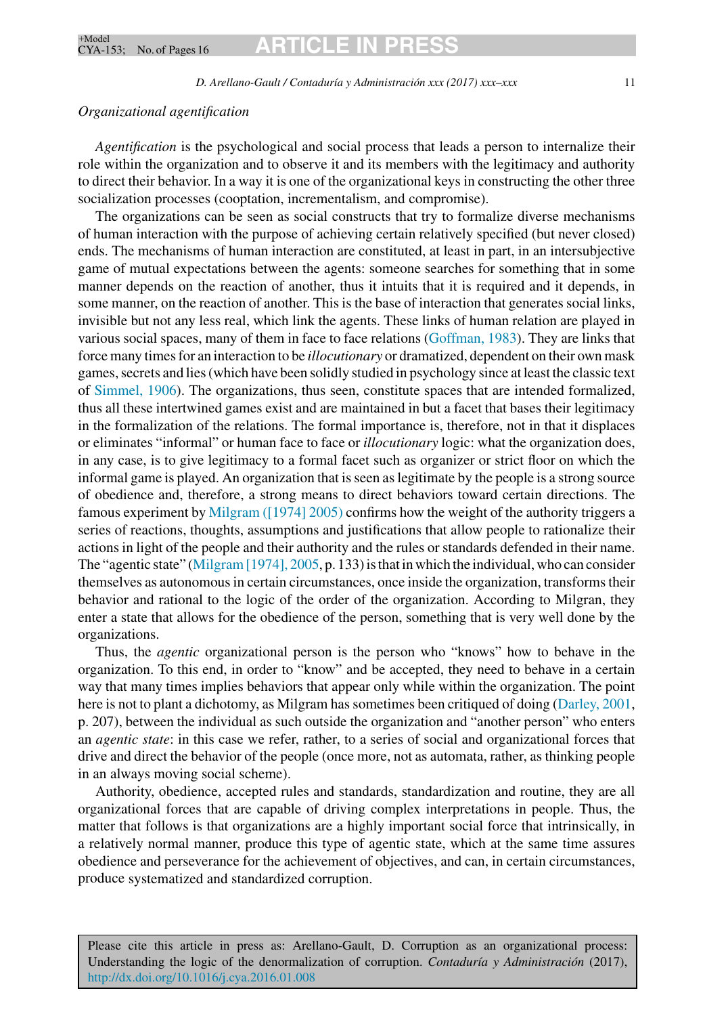#### *Organizational agentification*

*Agentification* is the psychological and social process that leads a person to internalize their role within the organization and to observe it and its members with the legitimacy and authority to direct their behavior. In a way it is one of the organizational keys in constructing the other three socialization processes (cooptation, incrementalism, and compromise).

The organizations can be seen as social constructs that try to formalize diverse mechanisms of human interaction with the purpose of achieving certain relatively specified (but never closed) ends. The mechanisms of human interaction are constituted, at least in part, in an intersubjective game of mutual expectations between the agents: someone searches for something that in some manner depends on the reaction of another, thus it intuits that it is required and it depends, in some manner, on the reaction of another. This is the base of interaction that generates social links, invisible but not any less real, which link the agents. These links of human relation are played in various social spaces, many of them in face to face relations ([Goffman,](#page-15-0) [1983\).](#page-15-0) They are links that force many timesfor an interaction to be *illocutionary* or dramatized, dependent on their own mask games, secrets and lies (which have been solidly studied in psychology since at least the classic text of [Simmel,](#page-15-0) [1906\).](#page-15-0) The organizations, thus seen, constitute spaces that are intended formalized, thus all these intertwined games exist and are maintained in but a facet that bases their legitimacy in the formalization of the relations. The formal importance is, therefore, not in that it displaces or eliminates "informal" or human face to face or *illocutionary* logic: what the organization does, in any case, is to give legitimacy to a formal facet such as organizer or strict floor on which the informal game is played. An organization that isseen aslegitimate by the people is a strong source of obedience and, therefore, a strong means to direct behaviors toward certain directions. The famous experiment by [Milgram](#page-15-0) [\(\[1974\]](#page-15-0) [2005\)](#page-15-0) confirms how the weight of the authority triggers a series of reactions, thoughts, assumptions and justifications that allow people to rationalize their actions in light of the people and their authority and the rules or standards defended in their name. The "agentic state" (Milgram [1974], [2005,](#page-15-0) p. 133) is that in which the individual, who can consider themselves as autonomousin certain circumstances, once inside the organization, transformstheir behavior and rational to the logic of the order of the organization. According to Milgran, they enter a state that allows for the obedience of the person, something that is very well done by the organizations.

Thus, the *agentic* organizational person is the person who "knows" how to behave in the organization. To this end, in order to "know" and be accepted, they need to behave in a certain way that many times implies behaviors that appear only while within the organization. The point here is not to plant a dichotomy, as Milgram has sometimes been critiqued of doing [\(Darley,](#page-14-0) [2001,](#page-14-0) p. 207), between the individual as such outside the organization and "another person" who enters an *agentic state*: in this case we refer, rather, to a series of social and organizational forces that drive and direct the behavior of the people (once more, not as automata, rather, as thinking people in an always moving social scheme).

Authority, obedience, accepted rules and standards, standardization and routine, they are all organizational forces that are capable of driving complex interpretations in people. Thus, the matter that follows is that organizations are a highly important social force that intrinsically, in a relatively normal manner, produce this type of agentic state, which at the same time assures obedience and perseverance for the achievement of objectives, and can, in certain circumstances, produce systematized and standardized corruption.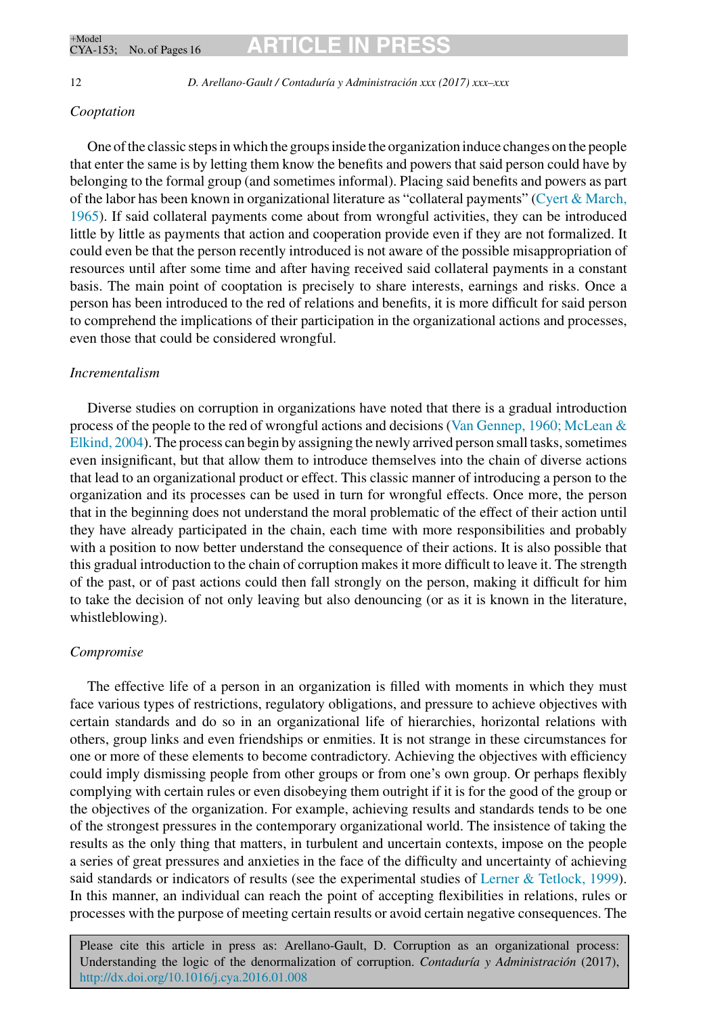12 *D. Arellano-Gault / Contaduría y Administración xxx (2017) xxx–xxx*

## *Cooptation*

One ofthe classic stepsinwhich the groupsinside the organization induce changes on the people that enter the same is by letting them know the benefits and powers that said person could have by belonging to the formal group (and sometimes informal). Placing said benefits and powers as part of the labor has been known in organizational literature as "collateral payments" [\(Cyert](#page-14-0) [&](#page-14-0) [March,](#page-14-0) [1965\).](#page-14-0) If said collateral payments come about from wrongful activities, they can be introduced little by little as payments that action and cooperation provide even if they are not formalized. It could even be that the person recently introduced is not aware of the possible misappropriation of resources until after some time and after having received said collateral payments in a constant basis. The main point of cooptation is precisely to share interests, earnings and risks. Once a person has been introduced to the red of relations and benefits, it is more difficult for said person to comprehend the implications of their participation in the organizational actions and processes, even those that could be considered wrongful.

## *Incrementalism*

Diverse studies on corruption in organizations have noted that there is a gradual introduction process of the people to the red of wrongful actions and decisions [\(Van](#page-15-0) [Gennep,](#page-15-0) [1960;](#page-15-0) [McLean](#page-15-0) [&](#page-15-0) [Elkind,](#page-15-0) [2004\).](#page-15-0) The process can begin by assigning the newly arrived person small tasks, sometimes even insignificant, but that allow them to introduce themselves into the chain of diverse actions that lead to an organizational product or effect. This classic manner of introducing a person to the organization and its processes can be used in turn for wrongful effects. Once more, the person that in the beginning does not understand the moral problematic of the effect of their action until they have already participated in the chain, each time with more responsibilities and probably with a position to now better understand the consequence of their actions. It is also possible that this gradual introduction to the chain of corruption makes it more difficult to leave it. The strength of the past, or of past actions could then fall strongly on the person, making it difficult for him to take the decision of not only leaving but also denouncing (or as it is known in the literature, whistleblowing).

# *Compromise*

The effective life of a person in an organization is filled with moments in which they must face various types of restrictions, regulatory obligations, and pressure to achieve objectives with certain standards and do so in an organizational life of hierarchies, horizontal relations with others, group links and even friendships or enmities. It is not strange in these circumstances for one or more of these elements to become contradictory. Achieving the objectives with efficiency could imply dismissing people from other groups or from one's own group. Or perhaps flexibly complying with certain rules or even disobeying them outright if it is for the good of the group or the objectives of the organization. For example, achieving results and standards tends to be one of the strongest pressures in the contemporary organizational world. The insistence of taking the results as the only thing that matters, in turbulent and uncertain contexts, impose on the people a series of great pressures and anxieties in the face of the difficulty and uncertainty of achieving said standards or indicators of results (see the experimental studies of [Lerner](#page-15-0) [&](#page-15-0) [Tetlock,](#page-15-0) [1999\).](#page-15-0) In this manner, an individual can reach the point of accepting flexibilities in relations, rules or processes with the purpose of meeting certain results or avoid certain negative consequences. The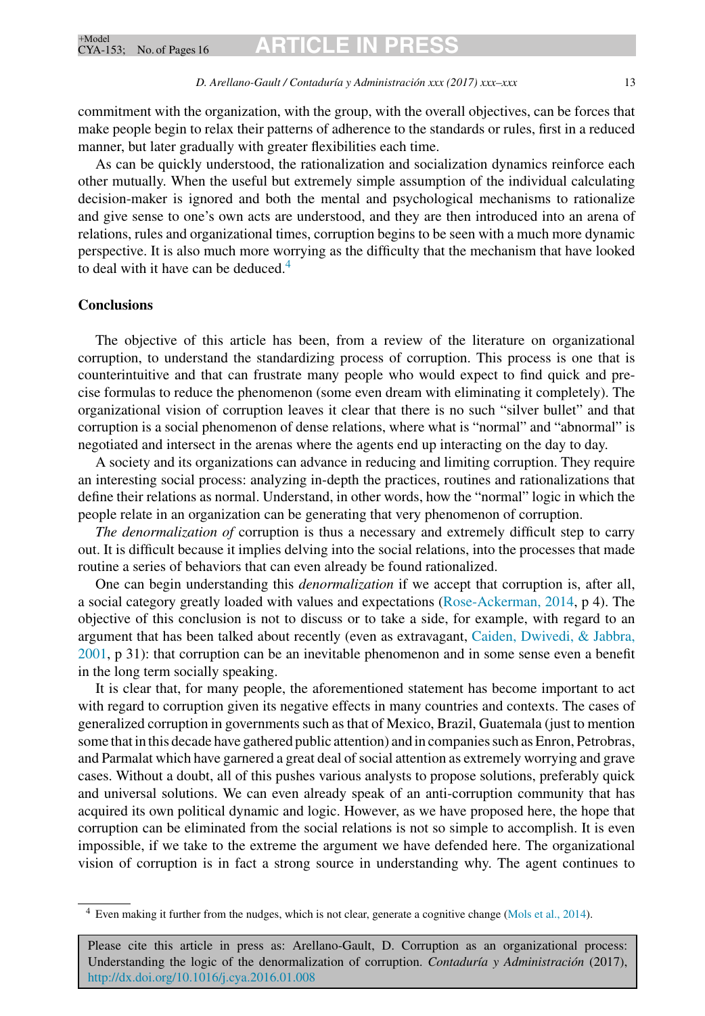#### *D. Arellano-Gault / Contaduría y Administración xxx (2017) xxx–xxx* 13

commitment with the organization, with the group, with the overall objectives, can be forces that make people begin to relax their patterns of adherence to the standards or rules, first in a reduced manner, but later gradually with greater flexibilities each time.

As can be quickly understood, the rationalization and socialization dynamics reinforce each other mutually. When the useful but extremely simple assumption of the individual calculating decision-maker is ignored and both the mental and psychological mechanisms to rationalize and give sense to one's own acts are understood, and they are then introduced into an arena of relations, rules and organizational times, corruption begins to be seen with a much more dynamic perspective. It is also much more worrying as the difficulty that the mechanism that have looked to deal with it have can be deduced. $4$ 

#### **Conclusions**

The objective of this article has been, from a review of the literature on organizational corruption, to understand the standardizing process of corruption. This process is one that is counterintuitive and that can frustrate many people who would expect to find quick and precise formulas to reduce the phenomenon (some even dream with eliminating it completely). The organizational vision of corruption leaves it clear that there is no such "silver bullet" and that corruption is a social phenomenon of dense relations, where what is "normal" and "abnormal" is negotiated and intersect in the arenas where the agents end up interacting on the day to day.

A society and its organizations can advance in reducing and limiting corruption. They require an interesting social process: analyzing in-depth the practices, routines and rationalizations that define their relations as normal. Understand, in other words, how the "normal" logic in which the people relate in an organization can be generating that very phenomenon of corruption.

*The denormalization of* corruption is thus a necessary and extremely difficult step to carry out. It is difficult because it implies delving into the social relations, into the processes that made routine a series of behaviors that can even already be found rationalized.

One can begin understanding this *denormalization* if we accept that corruption is, after all, a social category greatly loaded with values and expectations ([Rose-Ackerman,](#page-15-0) [2014,](#page-15-0) p 4). The objective of this conclusion is not to discuss or to take a side, for example, with regard to an argument that has been talked about recently (even as extravagant, [Caiden,](#page-14-0) [Dwivedi,](#page-14-0) [&](#page-14-0) [Jabbra,](#page-14-0) [2001,](#page-14-0) p 31): that corruption can be an inevitable phenomenon and in some sense even a benefit in the long term socially speaking.

It is clear that, for many people, the aforementioned statement has become important to act with regard to corruption given its negative effects in many countries and contexts. The cases of generalized corruption in governments such as that of Mexico, Brazil, Guatemala (just to mention some that in this decade have gathered public attention) and in companies such as Enron, Petrobras, and Parmalat which have garnered a great deal of social attention as extremely worrying and grave cases. Without a doubt, all of this pushes various analysts to propose solutions, preferably quick and universal solutions. We can even already speak of an anti-corruption community that has acquired its own political dynamic and logic. However, as we have proposed here, the hope that corruption can be eliminated from the social relations is not so simple to accomplish. It is even impossible, if we take to the extreme the argument we have defended here. The organizational vision of corruption is in fact a strong source in understanding why. The agent continues to

Even making it further from the nudges, which is not clear, generate a cognitive change ([Mols](#page-15-0) et [al.,](#page-15-0) [2014\).](#page-15-0)

Please cite this article in press as: Arellano-Gault, D. Corruption as an organizational process: Understanding the logic of the denormalization of corruption. *Contaduría y Administración* (2017), [http://dx.doi.org/10.1016/j.cya.2016.01.008](dx.doi.org/10.1016/j.cya.2016.01.008)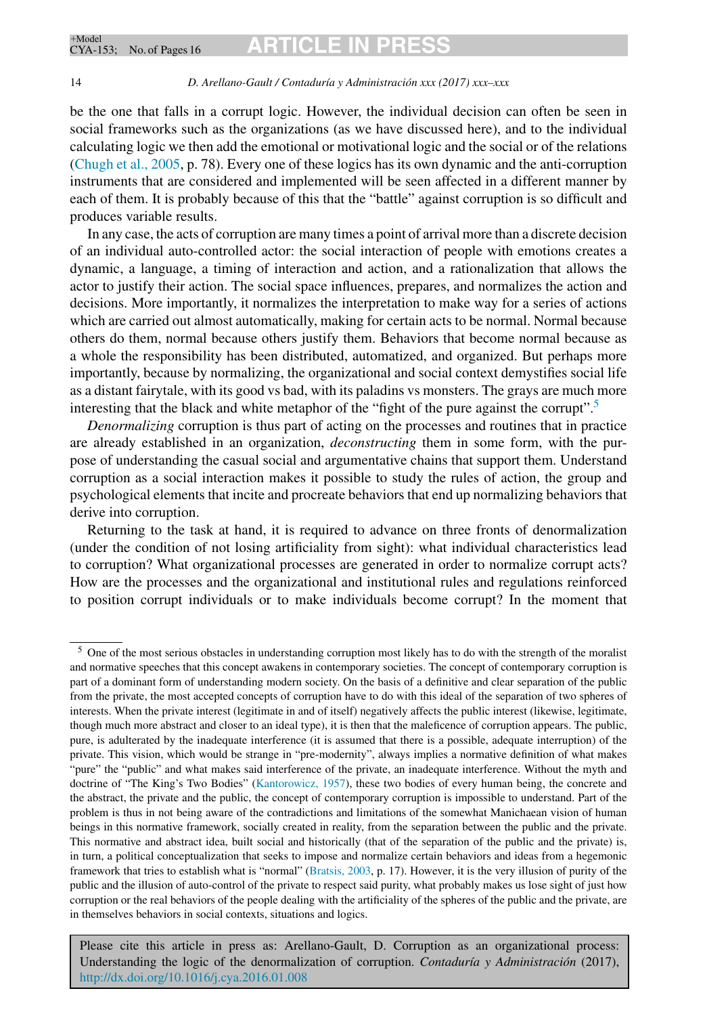#### 14 *D. Arellano-Gault / Contaduría y Administración xxx (2017) xxx–xxx*

be the one that falls in a corrupt logic. However, the individual decision can often be seen in social frameworks such as the organizations (as we have discussed here), and to the individual calculating logic we then add the emotional or motivational logic and the social or of the relations ([Chugh](#page-14-0) et [al.,](#page-14-0) [2005,](#page-14-0) p. 78). Every one of these logics has its own dynamic and the anti-corruption instruments that are considered and implemented will be seen affected in a different manner by each of them. It is probably because of this that the "battle" against corruption is so difficult and produces variable results.

In any case, the acts of corruption are many times a point of arrival more than a discrete decision of an individual auto-controlled actor: the social interaction of people with emotions creates a dynamic, a language, a timing of interaction and action, and a rationalization that allows the actor to justify their action. The social space influences, prepares, and normalizes the action and decisions. More importantly, it normalizes the interpretation to make way for a series of actions which are carried out almost automatically, making for certain acts to be normal. Normal because others do them, normal because others justify them. Behaviors that become normal because as a whole the responsibility has been distributed, automatized, and organized. But perhaps more importantly, because by normalizing, the organizational and social context demystifies social life as a distant fairytale, with its good vs bad, with its paladins vs monsters. The grays are much more interesting that the black and white metaphor of the "fight of the pure against the corrupt". $5$ 

*Denormalizing* corruption is thus part of acting on the processes and routines that in practice are already established in an organization, *deconstructing* them in some form, with the purpose of understanding the casual social and argumentative chains that support them. Understand corruption as a social interaction makes it possible to study the rules of action, the group and psychological elements that incite and procreate behaviors that end up normalizing behaviors that derive into corruption.

Returning to the task at hand, it is required to advance on three fronts of denormalization (under the condition of not losing artificiality from sight): what individual characteristics lead to corruption? What organizational processes are generated in order to normalize corrupt acts? How are the processes and the organizational and institutional rules and regulations reinforced to position corrupt individuals or to make individuals become corrupt? In the moment that

<sup>5</sup> One of the most serious obstacles in understanding corruption most likely has to do with the strength of the moralist and normative speeches that this concept awakens in contemporary societies. The concept of contemporary corruption is part of a dominant form of understanding modern society. On the basis of a definitive and clear separation of the public from the private, the most accepted concepts of corruption have to do with this ideal of the separation of two spheres of interests. When the private interest (legitimate in and of itself) negatively affects the public interest (likewise, legitimate, though much more abstract and closer to an ideal type), it is then that the maleficence of corruption appears. The public, pure, is adulterated by the inadequate interference (it is assumed that there is a possible, adequate interruption) of the private. This vision, which would be strange in "pre-modernity", always implies a normative definition of what makes "pure" the "public" and what makes said interference of the private, an inadequate interference. Without the myth and doctrine of "The King's Two Bodies" ([Kantorowicz,](#page-15-0) [1957\),](#page-15-0) these two bodies of every human being, the concrete and the abstract, the private and the public, the concept of contemporary corruption is impossible to understand. Part of the problem is thus in not being aware of the contradictions and limitations of the somewhat Manichaean vision of human beings in this normative framework, socially created in reality, from the separation between the public and the private. This normative and abstract idea, built social and historically (that of the separation of the public and the private) is, in turn, a political conceptualization that seeks to impose and normalize certain behaviors and ideas from a hegemonic framework that tries to establish what is "normal" ([Bratsis,](#page-14-0) [2003,](#page-14-0) p. 17). However, it is the very illusion of purity of the public and the illusion of auto-control of the private to respect said purity, what probably makes us lose sight of just how corruption or the real behaviors of the people dealing with the artificiality of the spheres of the public and the private, are in themselves behaviors in social contexts, situations and logics.

Please cite this article in press as: Arellano-Gault, D. Corruption as an organizational process: Understanding the logic of the denormalization of corruption. *Contaduría y Administración* (2017), [http://dx.doi.org/10.1016/j.cya.2016.01.008](dx.doi.org/10.1016/j.cya.2016.01.008)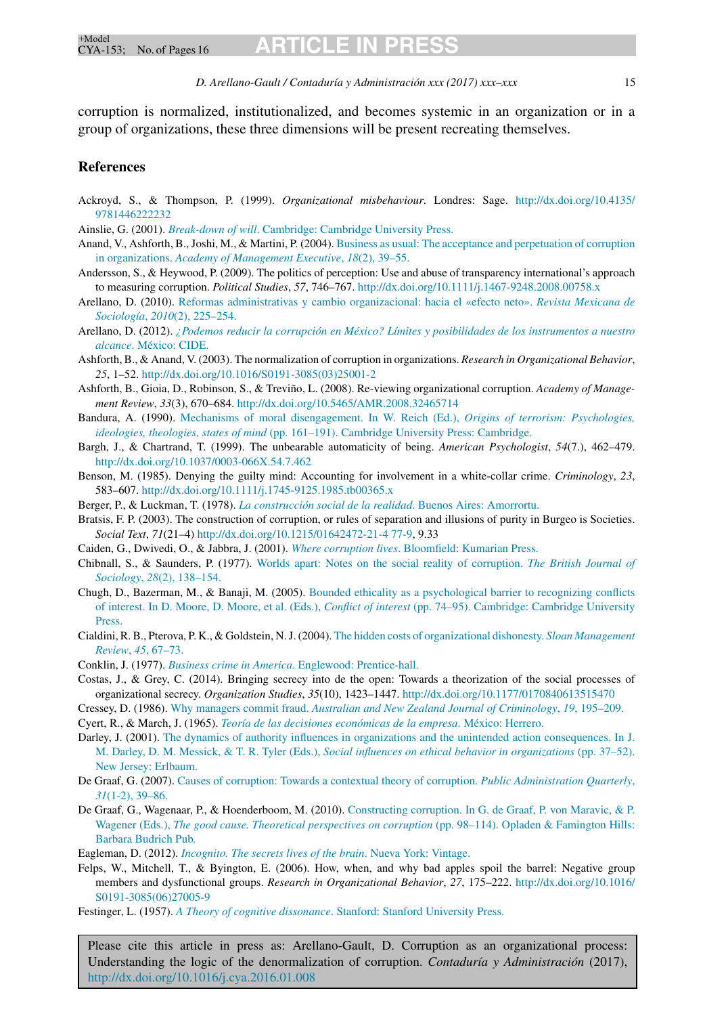<span id="page-14-0"></span>corruption is normalized, institutionalized, and becomes systemic in an organization or in a group of organizations, these three dimensions will be present recreating themselves.

### **References**

Ackroyd, S., & Thompson, P. (1999). *Organizational misbehaviour*. Londres: Sage. [http://dx.doi.org/10.4135/](dx.doi.org/10.4135/9781446222232) [9781446222232](dx.doi.org/10.4135/9781446222232)

Ainslie, G. (2001). *[Break-down](http://refhub.elsevier.com/S0186-1042(17)30042-6/sbref0010) [of](http://refhub.elsevier.com/S0186-1042(17)30042-6/sbref0010) [will](http://refhub.elsevier.com/S0186-1042(17)30042-6/sbref0010)*[.](http://refhub.elsevier.com/S0186-1042(17)30042-6/sbref0010) [Cambridge:](http://refhub.elsevier.com/S0186-1042(17)30042-6/sbref0010) [Cambridge](http://refhub.elsevier.com/S0186-1042(17)30042-6/sbref0010) [University](http://refhub.elsevier.com/S0186-1042(17)30042-6/sbref0010) [Press.](http://refhub.elsevier.com/S0186-1042(17)30042-6/sbref0010)

- Anand, V., Ashforth, B., Joshi, M., & Martini, P. (2004). [Business](http://refhub.elsevier.com/S0186-1042(17)30042-6/sbref0015) [as](http://refhub.elsevier.com/S0186-1042(17)30042-6/sbref0015) [usual:](http://refhub.elsevier.com/S0186-1042(17)30042-6/sbref0015) [The](http://refhub.elsevier.com/S0186-1042(17)30042-6/sbref0015) [acceptance](http://refhub.elsevier.com/S0186-1042(17)30042-6/sbref0015) [and](http://refhub.elsevier.com/S0186-1042(17)30042-6/sbref0015) [perpetuation](http://refhub.elsevier.com/S0186-1042(17)30042-6/sbref0015) [of](http://refhub.elsevier.com/S0186-1042(17)30042-6/sbref0015) [corruption](http://refhub.elsevier.com/S0186-1042(17)30042-6/sbref0015) [in](http://refhub.elsevier.com/S0186-1042(17)30042-6/sbref0015) [organizations.](http://refhub.elsevier.com/S0186-1042(17)30042-6/sbref0015) *[Academy](http://refhub.elsevier.com/S0186-1042(17)30042-6/sbref0015) [of](http://refhub.elsevier.com/S0186-1042(17)30042-6/sbref0015) [Management](http://refhub.elsevier.com/S0186-1042(17)30042-6/sbref0015) [Executive](http://refhub.elsevier.com/S0186-1042(17)30042-6/sbref0015)*[,](http://refhub.elsevier.com/S0186-1042(17)30042-6/sbref0015) *[18](http://refhub.elsevier.com/S0186-1042(17)30042-6/sbref0015)*[\(2\),](http://refhub.elsevier.com/S0186-1042(17)30042-6/sbref0015) [39](http://refhub.elsevier.com/S0186-1042(17)30042-6/sbref0015)–[55.](http://refhub.elsevier.com/S0186-1042(17)30042-6/sbref0015)
- Andersson, S., & Heywood, P. (2009). The politics of perception: Use and abuse of transparency international's approach to measuring corruption. *Political Studies*, *57*, 746–767. [http://dx.doi.org/10.1111/j.1467-9248.2008.00758.x](dx.doi.org/10.1111/j.1467-9248.2008.00758.x)
- Arellano, D. (2010). [Reformas](http://refhub.elsevier.com/S0186-1042(17)30042-6/sbref0025) [administrativas](http://refhub.elsevier.com/S0186-1042(17)30042-6/sbref0025) [y](http://refhub.elsevier.com/S0186-1042(17)30042-6/sbref0025) [cambio](http://refhub.elsevier.com/S0186-1042(17)30042-6/sbref0025) [organizacional:](http://refhub.elsevier.com/S0186-1042(17)30042-6/sbref0025) [hacia](http://refhub.elsevier.com/S0186-1042(17)30042-6/sbref0025) [el](http://refhub.elsevier.com/S0186-1042(17)30042-6/sbref0025) [«efecto](http://refhub.elsevier.com/S0186-1042(17)30042-6/sbref0025) [neto»](http://refhub.elsevier.com/S0186-1042(17)30042-6/sbref0025). *[Revista](http://refhub.elsevier.com/S0186-1042(17)30042-6/sbref0025) [Mexicana](http://refhub.elsevier.com/S0186-1042(17)30042-6/sbref0025) [de](http://refhub.elsevier.com/S0186-1042(17)30042-6/sbref0025) [Sociología](http://refhub.elsevier.com/S0186-1042(17)30042-6/sbref0025)*[,](http://refhub.elsevier.com/S0186-1042(17)30042-6/sbref0025) *[2010](http://refhub.elsevier.com/S0186-1042(17)30042-6/sbref0025)*[\(2\),](http://refhub.elsevier.com/S0186-1042(17)30042-6/sbref0025) [225](http://refhub.elsevier.com/S0186-1042(17)30042-6/sbref0025)–[254.](http://refhub.elsevier.com/S0186-1042(17)30042-6/sbref0025)
- Arellano, D. (2012). *[¿Podemos](http://refhub.elsevier.com/S0186-1042(17)30042-6/sbref0030) [reducir](http://refhub.elsevier.com/S0186-1042(17)30042-6/sbref0030) [la](http://refhub.elsevier.com/S0186-1042(17)30042-6/sbref0030) [corrupción](http://refhub.elsevier.com/S0186-1042(17)30042-6/sbref0030) [en](http://refhub.elsevier.com/S0186-1042(17)30042-6/sbref0030) [México?](http://refhub.elsevier.com/S0186-1042(17)30042-6/sbref0030) [Límites](http://refhub.elsevier.com/S0186-1042(17)30042-6/sbref0030) [y](http://refhub.elsevier.com/S0186-1042(17)30042-6/sbref0030) [posibilidades](http://refhub.elsevier.com/S0186-1042(17)30042-6/sbref0030) [de](http://refhub.elsevier.com/S0186-1042(17)30042-6/sbref0030) [los](http://refhub.elsevier.com/S0186-1042(17)30042-6/sbref0030) [instrumentos](http://refhub.elsevier.com/S0186-1042(17)30042-6/sbref0030) [a](http://refhub.elsevier.com/S0186-1042(17)30042-6/sbref0030) [nuestro](http://refhub.elsevier.com/S0186-1042(17)30042-6/sbref0030) [alcance](http://refhub.elsevier.com/S0186-1042(17)30042-6/sbref0030)*[.](http://refhub.elsevier.com/S0186-1042(17)30042-6/sbref0030) [México:](http://refhub.elsevier.com/S0186-1042(17)30042-6/sbref0030) [CIDE.](http://refhub.elsevier.com/S0186-1042(17)30042-6/sbref0030)
- Ashforth, B., & Anand, V. (2003). The normalization of corruption in organizations. *Research in Organizational Behavior*, *25*, 1–52. [http://dx.doi.org/10.1016/S0191-3085\(03\)25001-2](dx.doi.org/10.1016/S0191-3085(03)25001-2)
- Ashforth, B., Gioia, D., Robinson, S., & Treviño, L. (2008). Re-viewing organizational corruption. *Academy of Management Review*, *33*(3), 670–684. [http://dx.doi.org/10.5465/AMR.2008.32465714](dx.doi.org/10.5465/AMR.2008.32465714)
- Bandura, A. (1990). [Mechanisms](http://refhub.elsevier.com/S0186-1042(17)30042-6/sbref0045) [of](http://refhub.elsevier.com/S0186-1042(17)30042-6/sbref0045) [moral](http://refhub.elsevier.com/S0186-1042(17)30042-6/sbref0045) [disengagement.](http://refhub.elsevier.com/S0186-1042(17)30042-6/sbref0045) [In](http://refhub.elsevier.com/S0186-1042(17)30042-6/sbref0045) [W.](http://refhub.elsevier.com/S0186-1042(17)30042-6/sbref0045) [Reich](http://refhub.elsevier.com/S0186-1042(17)30042-6/sbref0045) [\(Ed.\),](http://refhub.elsevier.com/S0186-1042(17)30042-6/sbref0045) *[Origins](http://refhub.elsevier.com/S0186-1042(17)30042-6/sbref0045) [of](http://refhub.elsevier.com/S0186-1042(17)30042-6/sbref0045) [terrorism:](http://refhub.elsevier.com/S0186-1042(17)30042-6/sbref0045) [Psychologies,](http://refhub.elsevier.com/S0186-1042(17)30042-6/sbref0045) [ideologies,](http://refhub.elsevier.com/S0186-1042(17)30042-6/sbref0045) [theologies,](http://refhub.elsevier.com/S0186-1042(17)30042-6/sbref0045) [states](http://refhub.elsevier.com/S0186-1042(17)30042-6/sbref0045) [of](http://refhub.elsevier.com/S0186-1042(17)30042-6/sbref0045) [mind](http://refhub.elsevier.com/S0186-1042(17)30042-6/sbref0045)* [\(pp.](http://refhub.elsevier.com/S0186-1042(17)30042-6/sbref0045) [161](http://refhub.elsevier.com/S0186-1042(17)30042-6/sbref0045)–[191\).](http://refhub.elsevier.com/S0186-1042(17)30042-6/sbref0045) [Cambridge](http://refhub.elsevier.com/S0186-1042(17)30042-6/sbref0045) [University](http://refhub.elsevier.com/S0186-1042(17)30042-6/sbref0045) [Press:](http://refhub.elsevier.com/S0186-1042(17)30042-6/sbref0045) [Cambridge.](http://refhub.elsevier.com/S0186-1042(17)30042-6/sbref0045)
- Bargh, J., & Chartrand, T. (1999). The unbearable automaticity of being. *American Psychologist*, *54*(7.), 462–479. [http://dx.doi.org/10.1037/0003-066X.54.7.462](dx.doi.org/10.1037/0003-066X.54.7.462)
- Benson, M. (1985). Denying the guilty mind: Accounting for involvement in a white-collar crime. *Criminology*, *23*, 583–607. [http://dx.doi.org/10.1111/j.1745-9125.1985.tb00365.x](dx.doi.org/10.1111/j.1745-9125.1985.tb00365.x)
- Berger, P., & Luckman, T. (1978). *[La](http://refhub.elsevier.com/S0186-1042(17)30042-6/sbref0060) [construcción](http://refhub.elsevier.com/S0186-1042(17)30042-6/sbref0060) [social](http://refhub.elsevier.com/S0186-1042(17)30042-6/sbref0060) [de](http://refhub.elsevier.com/S0186-1042(17)30042-6/sbref0060) [la](http://refhub.elsevier.com/S0186-1042(17)30042-6/sbref0060) [realidad](http://refhub.elsevier.com/S0186-1042(17)30042-6/sbref0060)*. [Buenos](http://refhub.elsevier.com/S0186-1042(17)30042-6/sbref0060) [Aires:](http://refhub.elsevier.com/S0186-1042(17)30042-6/sbref0060) [Amorrortu.](http://refhub.elsevier.com/S0186-1042(17)30042-6/sbref0060)
- Bratsis, F. P. (2003). The construction of corruption, or rules of separation and illusions of purity in Burgeo is Societies. *Social Text*, *71*(21–4) [http://dx.doi.org/10.1215/01642472-21-4](dx.doi.org/10.1215/01642472-21-4 77-9) 77-9, 9.33
- Caiden, G., Dwivedi, O., & Jabbra, J. (2001). *[Where](http://refhub.elsevier.com/S0186-1042(17)30042-6/sbref0070) [corruption](http://refhub.elsevier.com/S0186-1042(17)30042-6/sbref0070) [lives](http://refhub.elsevier.com/S0186-1042(17)30042-6/sbref0070)*[.](http://refhub.elsevier.com/S0186-1042(17)30042-6/sbref0070) [Bloomfield:](http://refhub.elsevier.com/S0186-1042(17)30042-6/sbref0070) [Kumarian](http://refhub.elsevier.com/S0186-1042(17)30042-6/sbref0070) [Press.](http://refhub.elsevier.com/S0186-1042(17)30042-6/sbref0070)
- Chibnall, S., & Saunders, P. (1977). [Worlds](http://refhub.elsevier.com/S0186-1042(17)30042-6/sbref0075) [apart:](http://refhub.elsevier.com/S0186-1042(17)30042-6/sbref0075) [Notes](http://refhub.elsevier.com/S0186-1042(17)30042-6/sbref0075) [on](http://refhub.elsevier.com/S0186-1042(17)30042-6/sbref0075) [the](http://refhub.elsevier.com/S0186-1042(17)30042-6/sbref0075) [social](http://refhub.elsevier.com/S0186-1042(17)30042-6/sbref0075) [reality](http://refhub.elsevier.com/S0186-1042(17)30042-6/sbref0075) [of](http://refhub.elsevier.com/S0186-1042(17)30042-6/sbref0075) [corruption.](http://refhub.elsevier.com/S0186-1042(17)30042-6/sbref0075) *[The](http://refhub.elsevier.com/S0186-1042(17)30042-6/sbref0075) [British](http://refhub.elsevier.com/S0186-1042(17)30042-6/sbref0075) [Journal](http://refhub.elsevier.com/S0186-1042(17)30042-6/sbref0075) [of](http://refhub.elsevier.com/S0186-1042(17)30042-6/sbref0075) [Sociology](http://refhub.elsevier.com/S0186-1042(17)30042-6/sbref0075)*[,](http://refhub.elsevier.com/S0186-1042(17)30042-6/sbref0075) *[28](http://refhub.elsevier.com/S0186-1042(17)30042-6/sbref0075)*[\(2\),](http://refhub.elsevier.com/S0186-1042(17)30042-6/sbref0075) [138–154.](http://refhub.elsevier.com/S0186-1042(17)30042-6/sbref0075)
- Chugh, D., Bazerman, M., & Banaji, M. (2005). [Bounded](http://refhub.elsevier.com/S0186-1042(17)30042-6/sbref0080) [ethicality](http://refhub.elsevier.com/S0186-1042(17)30042-6/sbref0080) [as](http://refhub.elsevier.com/S0186-1042(17)30042-6/sbref0080) [a](http://refhub.elsevier.com/S0186-1042(17)30042-6/sbref0080) [psychological](http://refhub.elsevier.com/S0186-1042(17)30042-6/sbref0080) [barrier](http://refhub.elsevier.com/S0186-1042(17)30042-6/sbref0080) [to](http://refhub.elsevier.com/S0186-1042(17)30042-6/sbref0080) [recognizing](http://refhub.elsevier.com/S0186-1042(17)30042-6/sbref0080) [conflicts](http://refhub.elsevier.com/S0186-1042(17)30042-6/sbref0080) [of](http://refhub.elsevier.com/S0186-1042(17)30042-6/sbref0080) [interest.](http://refhub.elsevier.com/S0186-1042(17)30042-6/sbref0080) [In](http://refhub.elsevier.com/S0186-1042(17)30042-6/sbref0080) [D.](http://refhub.elsevier.com/S0186-1042(17)30042-6/sbref0080) [Moore,](http://refhub.elsevier.com/S0186-1042(17)30042-6/sbref0080) [D.](http://refhub.elsevier.com/S0186-1042(17)30042-6/sbref0080) [Moore,](http://refhub.elsevier.com/S0186-1042(17)30042-6/sbref0080) [et](http://refhub.elsevier.com/S0186-1042(17)30042-6/sbref0080) [al.](http://refhub.elsevier.com/S0186-1042(17)30042-6/sbref0080) [\(Eds.\),](http://refhub.elsevier.com/S0186-1042(17)30042-6/sbref0080) *[Conflict](http://refhub.elsevier.com/S0186-1042(17)30042-6/sbref0080) [of](http://refhub.elsevier.com/S0186-1042(17)30042-6/sbref0080) [interest](http://refhub.elsevier.com/S0186-1042(17)30042-6/sbref0080)* [\(pp.](http://refhub.elsevier.com/S0186-1042(17)30042-6/sbref0080) [74–95\).](http://refhub.elsevier.com/S0186-1042(17)30042-6/sbref0080) [Cambridge:](http://refhub.elsevier.com/S0186-1042(17)30042-6/sbref0080) [Cambridge](http://refhub.elsevier.com/S0186-1042(17)30042-6/sbref0080) [University](http://refhub.elsevier.com/S0186-1042(17)30042-6/sbref0080) [Press.](http://refhub.elsevier.com/S0186-1042(17)30042-6/sbref0080)
- Cialdini, R. B., Pterova, P. K., & Goldstein, N.J. (2004). [The](http://refhub.elsevier.com/S0186-1042(17)30042-6/sbref0085) [hidden](http://refhub.elsevier.com/S0186-1042(17)30042-6/sbref0085) [costs](http://refhub.elsevier.com/S0186-1042(17)30042-6/sbref0085) [of](http://refhub.elsevier.com/S0186-1042(17)30042-6/sbref0085) [organizational](http://refhub.elsevier.com/S0186-1042(17)30042-6/sbref0085) [dishonesty](http://refhub.elsevier.com/S0186-1042(17)30042-6/sbref0085). *[Sloan](http://refhub.elsevier.com/S0186-1042(17)30042-6/sbref0085) [Management](http://refhub.elsevier.com/S0186-1042(17)30042-6/sbref0085) [Review](http://refhub.elsevier.com/S0186-1042(17)30042-6/sbref0085)*[,](http://refhub.elsevier.com/S0186-1042(17)30042-6/sbref0085) *[45](http://refhub.elsevier.com/S0186-1042(17)30042-6/sbref0085)*[,](http://refhub.elsevier.com/S0186-1042(17)30042-6/sbref0085) [67](http://refhub.elsevier.com/S0186-1042(17)30042-6/sbref0085)–[73.](http://refhub.elsevier.com/S0186-1042(17)30042-6/sbref0085)
- Conklin, J. (1977). *[Business](http://refhub.elsevier.com/S0186-1042(17)30042-6/sbref0090) [crime](http://refhub.elsevier.com/S0186-1042(17)30042-6/sbref0090) [in](http://refhub.elsevier.com/S0186-1042(17)30042-6/sbref0090) [America](http://refhub.elsevier.com/S0186-1042(17)30042-6/sbref0090)*. [Englewood:](http://refhub.elsevier.com/S0186-1042(17)30042-6/sbref0090) [Prentice-hall.](http://refhub.elsevier.com/S0186-1042(17)30042-6/sbref0090)
- Costas, J., & Grey, C. (2014). Bringing secrecy into de the open: Towards a theorization of the social processes of organizational secrecy. *Organization Studies*, *35*(10), 1423–1447. [http://dx.doi.org/10.1177/0170840613515470](dx.doi.org/10.1177/0170840613515470)
- Cressey, D. (1986). [Why](http://refhub.elsevier.com/S0186-1042(17)30042-6/sbref0100) [managers](http://refhub.elsevier.com/S0186-1042(17)30042-6/sbref0100) [commit](http://refhub.elsevier.com/S0186-1042(17)30042-6/sbref0100) [fraud.](http://refhub.elsevier.com/S0186-1042(17)30042-6/sbref0100) *[Australian](http://refhub.elsevier.com/S0186-1042(17)30042-6/sbref0100) [and](http://refhub.elsevier.com/S0186-1042(17)30042-6/sbref0100) [New](http://refhub.elsevier.com/S0186-1042(17)30042-6/sbref0100) [Zealand](http://refhub.elsevier.com/S0186-1042(17)30042-6/sbref0100) [Journal](http://refhub.elsevier.com/S0186-1042(17)30042-6/sbref0100) [of](http://refhub.elsevier.com/S0186-1042(17)30042-6/sbref0100) [Criminology](http://refhub.elsevier.com/S0186-1042(17)30042-6/sbref0100)*[,](http://refhub.elsevier.com/S0186-1042(17)30042-6/sbref0100) *[19](http://refhub.elsevier.com/S0186-1042(17)30042-6/sbref0100)*[,](http://refhub.elsevier.com/S0186-1042(17)30042-6/sbref0100) [195](http://refhub.elsevier.com/S0186-1042(17)30042-6/sbref0100)–[209.](http://refhub.elsevier.com/S0186-1042(17)30042-6/sbref0100)
- Cyert, R., & March, J. (1965). *[Teoría](http://refhub.elsevier.com/S0186-1042(17)30042-6/sbref0105) [de](http://refhub.elsevier.com/S0186-1042(17)30042-6/sbref0105) [las](http://refhub.elsevier.com/S0186-1042(17)30042-6/sbref0105) [decisiones](http://refhub.elsevier.com/S0186-1042(17)30042-6/sbref0105) [económicas](http://refhub.elsevier.com/S0186-1042(17)30042-6/sbref0105) [de](http://refhub.elsevier.com/S0186-1042(17)30042-6/sbref0105) [la](http://refhub.elsevier.com/S0186-1042(17)30042-6/sbref0105) [empresa](http://refhub.elsevier.com/S0186-1042(17)30042-6/sbref0105)*[.](http://refhub.elsevier.com/S0186-1042(17)30042-6/sbref0105) [México:](http://refhub.elsevier.com/S0186-1042(17)30042-6/sbref0105) [Herrero.](http://refhub.elsevier.com/S0186-1042(17)30042-6/sbref0105)
- Darley, J. (2001). [The](http://refhub.elsevier.com/S0186-1042(17)30042-6/sbref0110) [dynamics](http://refhub.elsevier.com/S0186-1042(17)30042-6/sbref0110) [of](http://refhub.elsevier.com/S0186-1042(17)30042-6/sbref0110) [authority](http://refhub.elsevier.com/S0186-1042(17)30042-6/sbref0110) [influences](http://refhub.elsevier.com/S0186-1042(17)30042-6/sbref0110) [in](http://refhub.elsevier.com/S0186-1042(17)30042-6/sbref0110) [organizations](http://refhub.elsevier.com/S0186-1042(17)30042-6/sbref0110) [and](http://refhub.elsevier.com/S0186-1042(17)30042-6/sbref0110) [the](http://refhub.elsevier.com/S0186-1042(17)30042-6/sbref0110) [unintended](http://refhub.elsevier.com/S0186-1042(17)30042-6/sbref0110) [action](http://refhub.elsevier.com/S0186-1042(17)30042-6/sbref0110) [consequences.](http://refhub.elsevier.com/S0186-1042(17)30042-6/sbref0110) [In](http://refhub.elsevier.com/S0186-1042(17)30042-6/sbref0110) [J.](http://refhub.elsevier.com/S0186-1042(17)30042-6/sbref0110) [M.](http://refhub.elsevier.com/S0186-1042(17)30042-6/sbref0110) [Darley,](http://refhub.elsevier.com/S0186-1042(17)30042-6/sbref0110) [D.](http://refhub.elsevier.com/S0186-1042(17)30042-6/sbref0110) [M.](http://refhub.elsevier.com/S0186-1042(17)30042-6/sbref0110) [Messick,](http://refhub.elsevier.com/S0186-1042(17)30042-6/sbref0110) [&](http://refhub.elsevier.com/S0186-1042(17)30042-6/sbref0110) [T.](http://refhub.elsevier.com/S0186-1042(17)30042-6/sbref0110) [R.](http://refhub.elsevier.com/S0186-1042(17)30042-6/sbref0110) [Tyler](http://refhub.elsevier.com/S0186-1042(17)30042-6/sbref0110) [\(Eds.\),](http://refhub.elsevier.com/S0186-1042(17)30042-6/sbref0110) *[Social](http://refhub.elsevier.com/S0186-1042(17)30042-6/sbref0110) [influences](http://refhub.elsevier.com/S0186-1042(17)30042-6/sbref0110) [on](http://refhub.elsevier.com/S0186-1042(17)30042-6/sbref0110) [ethical](http://refhub.elsevier.com/S0186-1042(17)30042-6/sbref0110) [behavior](http://refhub.elsevier.com/S0186-1042(17)30042-6/sbref0110) [in](http://refhub.elsevier.com/S0186-1042(17)30042-6/sbref0110) [organizations](http://refhub.elsevier.com/S0186-1042(17)30042-6/sbref0110)* [\(pp.](http://refhub.elsevier.com/S0186-1042(17)30042-6/sbref0110) [37](http://refhub.elsevier.com/S0186-1042(17)30042-6/sbref0110)–[52\).](http://refhub.elsevier.com/S0186-1042(17)30042-6/sbref0110) [New](http://refhub.elsevier.com/S0186-1042(17)30042-6/sbref0110) [Jersey:](http://refhub.elsevier.com/S0186-1042(17)30042-6/sbref0110) [Erlbaum.](http://refhub.elsevier.com/S0186-1042(17)30042-6/sbref0110)
- De Graaf, G. (2007). [Causes](http://refhub.elsevier.com/S0186-1042(17)30042-6/sbref0115) [of](http://refhub.elsevier.com/S0186-1042(17)30042-6/sbref0115) [corruption:](http://refhub.elsevier.com/S0186-1042(17)30042-6/sbref0115) [Towards](http://refhub.elsevier.com/S0186-1042(17)30042-6/sbref0115) [a](http://refhub.elsevier.com/S0186-1042(17)30042-6/sbref0115) [contextual](http://refhub.elsevier.com/S0186-1042(17)30042-6/sbref0115) [theory](http://refhub.elsevier.com/S0186-1042(17)30042-6/sbref0115) [of](http://refhub.elsevier.com/S0186-1042(17)30042-6/sbref0115) [corruption.](http://refhub.elsevier.com/S0186-1042(17)30042-6/sbref0115) *[Public](http://refhub.elsevier.com/S0186-1042(17)30042-6/sbref0115) [Administration](http://refhub.elsevier.com/S0186-1042(17)30042-6/sbref0115) [Quarterly](http://refhub.elsevier.com/S0186-1042(17)30042-6/sbref0115)*[,](http://refhub.elsevier.com/S0186-1042(17)30042-6/sbref0115) *[31](http://refhub.elsevier.com/S0186-1042(17)30042-6/sbref0115)*[\(1-2\),](http://refhub.elsevier.com/S0186-1042(17)30042-6/sbref0115) [39](http://refhub.elsevier.com/S0186-1042(17)30042-6/sbref0115)–[86.](http://refhub.elsevier.com/S0186-1042(17)30042-6/sbref0115)
- De Graaf, G., Wagenaar, P., & Hoenderboom, M. (2010). [Constructing](http://refhub.elsevier.com/S0186-1042(17)30042-6/sbref0120) [corruption.](http://refhub.elsevier.com/S0186-1042(17)30042-6/sbref0120) [In](http://refhub.elsevier.com/S0186-1042(17)30042-6/sbref0120) [G.](http://refhub.elsevier.com/S0186-1042(17)30042-6/sbref0120) [de](http://refhub.elsevier.com/S0186-1042(17)30042-6/sbref0120) [Graaf,](http://refhub.elsevier.com/S0186-1042(17)30042-6/sbref0120) [P.](http://refhub.elsevier.com/S0186-1042(17)30042-6/sbref0120) [von](http://refhub.elsevier.com/S0186-1042(17)30042-6/sbref0120) [Maravic,](http://refhub.elsevier.com/S0186-1042(17)30042-6/sbref0120) [&](http://refhub.elsevier.com/S0186-1042(17)30042-6/sbref0120) [P.](http://refhub.elsevier.com/S0186-1042(17)30042-6/sbref0120) [Wagener](http://refhub.elsevier.com/S0186-1042(17)30042-6/sbref0120) [\(Eds.\),](http://refhub.elsevier.com/S0186-1042(17)30042-6/sbref0120) *[The](http://refhub.elsevier.com/S0186-1042(17)30042-6/sbref0120) [good](http://refhub.elsevier.com/S0186-1042(17)30042-6/sbref0120) [cause](http://refhub.elsevier.com/S0186-1042(17)30042-6/sbref0120). [Theoretical](http://refhub.elsevier.com/S0186-1042(17)30042-6/sbref0120) [perspectives](http://refhub.elsevier.com/S0186-1042(17)30042-6/sbref0120) [on](http://refhub.elsevier.com/S0186-1042(17)30042-6/sbref0120) [corruption](http://refhub.elsevier.com/S0186-1042(17)30042-6/sbref0120)* [\(pp.](http://refhub.elsevier.com/S0186-1042(17)30042-6/sbref0120) [98](http://refhub.elsevier.com/S0186-1042(17)30042-6/sbref0120)–[114\).](http://refhub.elsevier.com/S0186-1042(17)30042-6/sbref0120) [Opladen](http://refhub.elsevier.com/S0186-1042(17)30042-6/sbref0120) [&](http://refhub.elsevier.com/S0186-1042(17)30042-6/sbref0120) [Famington](http://refhub.elsevier.com/S0186-1042(17)30042-6/sbref0120) [Hills:](http://refhub.elsevier.com/S0186-1042(17)30042-6/sbref0120) [Barbara](http://refhub.elsevier.com/S0186-1042(17)30042-6/sbref0120) [Budrich](http://refhub.elsevier.com/S0186-1042(17)30042-6/sbref0120) [Pub.](http://refhub.elsevier.com/S0186-1042(17)30042-6/sbref0120)
- Eagleman, D. (2012). *[Incognito.](http://refhub.elsevier.com/S0186-1042(17)30042-6/sbref0125) [The](http://refhub.elsevier.com/S0186-1042(17)30042-6/sbref0125) [secrets](http://refhub.elsevier.com/S0186-1042(17)30042-6/sbref0125) [lives](http://refhub.elsevier.com/S0186-1042(17)30042-6/sbref0125) [of](http://refhub.elsevier.com/S0186-1042(17)30042-6/sbref0125) [the](http://refhub.elsevier.com/S0186-1042(17)30042-6/sbref0125) [brain](http://refhub.elsevier.com/S0186-1042(17)30042-6/sbref0125)*[.](http://refhub.elsevier.com/S0186-1042(17)30042-6/sbref0125) [Nueva](http://refhub.elsevier.com/S0186-1042(17)30042-6/sbref0125) [York:](http://refhub.elsevier.com/S0186-1042(17)30042-6/sbref0125) [Vintage.](http://refhub.elsevier.com/S0186-1042(17)30042-6/sbref0125)
- Felps, W., Mitchell, T., & Byington, E. (2006). How, when, and why bad apples spoil the barrel: Negative group members and dysfunctional groups. *Research in Organizational Behavior*, *27*, 175–222. [http://dx.doi.org/10.1016/](dx.doi.org/10.1016/S0191-3085(06)27005-9) [S0191-3085\(06\)27005-9](dx.doi.org/10.1016/S0191-3085(06)27005-9)
- Festinger, L. (1957). *[A](http://refhub.elsevier.com/S0186-1042(17)30042-6/sbref0135) [Theory](http://refhub.elsevier.com/S0186-1042(17)30042-6/sbref0135) [of](http://refhub.elsevier.com/S0186-1042(17)30042-6/sbref0135) [cognitive](http://refhub.elsevier.com/S0186-1042(17)30042-6/sbref0135) [dissonance](http://refhub.elsevier.com/S0186-1042(17)30042-6/sbref0135)*[.](http://refhub.elsevier.com/S0186-1042(17)30042-6/sbref0135) [Stanford:](http://refhub.elsevier.com/S0186-1042(17)30042-6/sbref0135) [Stanford](http://refhub.elsevier.com/S0186-1042(17)30042-6/sbref0135) [University](http://refhub.elsevier.com/S0186-1042(17)30042-6/sbref0135) [Press.](http://refhub.elsevier.com/S0186-1042(17)30042-6/sbref0135)